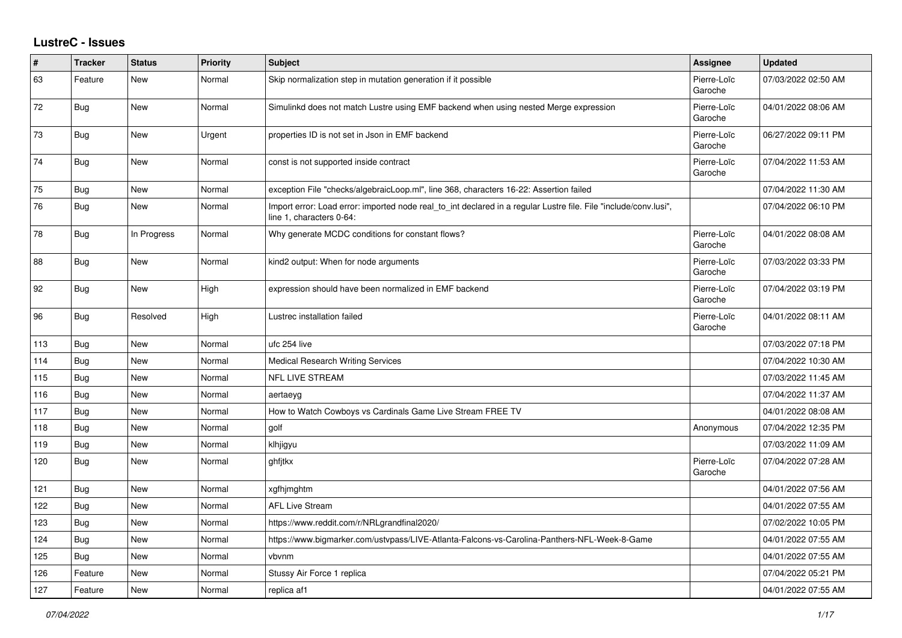## **LustreC - Issues**

| #   | <b>Tracker</b> | <b>Status</b> | <b>Priority</b> | <b>Subject</b>                                                                                                                               | Assignee               | <b>Updated</b>      |
|-----|----------------|---------------|-----------------|----------------------------------------------------------------------------------------------------------------------------------------------|------------------------|---------------------|
| 63  | Feature        | <b>New</b>    | Normal          | Skip normalization step in mutation generation if it possible                                                                                | Pierre-Loïc<br>Garoche | 07/03/2022 02:50 AM |
| 72  | Bug            | New           | Normal          | Simulinkd does not match Lustre using EMF backend when using nested Merge expression                                                         | Pierre-Loïc<br>Garoche | 04/01/2022 08:06 AM |
| 73  | <b>Bug</b>     | New           | Urgent          | properties ID is not set in Json in EMF backend                                                                                              | Pierre-Loïc<br>Garoche | 06/27/2022 09:11 PM |
| 74  | <b>Bug</b>     | <b>New</b>    | Normal          | const is not supported inside contract                                                                                                       | Pierre-Loïc<br>Garoche | 07/04/2022 11:53 AM |
| 75  | Bug            | <b>New</b>    | Normal          | exception File "checks/algebraicLoop.ml", line 368, characters 16-22: Assertion failed                                                       |                        | 07/04/2022 11:30 AM |
| 76  | <b>Bug</b>     | New           | Normal          | Import error: Load error: imported node real to int declared in a regular Lustre file. File "include/conv.lusi",<br>line 1, characters 0-64: |                        | 07/04/2022 06:10 PM |
| 78  | <b>Bug</b>     | In Progress   | Normal          | Why generate MCDC conditions for constant flows?                                                                                             | Pierre-Loïc<br>Garoche | 04/01/2022 08:08 AM |
| 88  | <b>Bug</b>     | New           | Normal          | kind2 output: When for node arguments                                                                                                        | Pierre-Loïc<br>Garoche | 07/03/2022 03:33 PM |
| 92  | Bug            | <b>New</b>    | High            | expression should have been normalized in EMF backend                                                                                        | Pierre-Loïc<br>Garoche | 07/04/2022 03:19 PM |
| 96  | <b>Bug</b>     | Resolved      | High            | Lustrec installation failed                                                                                                                  | Pierre-Loïc<br>Garoche | 04/01/2022 08:11 AM |
| 113 | <b>Bug</b>     | <b>New</b>    | Normal          | ufc 254 live                                                                                                                                 |                        | 07/03/2022 07:18 PM |
| 114 | <b>Bug</b>     | New           | Normal          | Medical Research Writing Services                                                                                                            |                        | 07/04/2022 10:30 AM |
| 115 | Bug            | <b>New</b>    | Normal          | NFL LIVE STREAM                                                                                                                              |                        | 07/03/2022 11:45 AM |
| 116 | Bug            | <b>New</b>    | Normal          | aertaeyg                                                                                                                                     |                        | 07/04/2022 11:37 AM |
| 117 | <b>Bug</b>     | New           | Normal          | How to Watch Cowboys vs Cardinals Game Live Stream FREE TV                                                                                   |                        | 04/01/2022 08:08 AM |
| 118 | <b>Bug</b>     | <b>New</b>    | Normal          | golf                                                                                                                                         | Anonymous              | 07/04/2022 12:35 PM |
| 119 | Bug            | <b>New</b>    | Normal          | klhjigyu                                                                                                                                     |                        | 07/03/2022 11:09 AM |
| 120 | Bug            | New           | Normal          | ghfjtkx                                                                                                                                      | Pierre-Loïc<br>Garoche | 07/04/2022 07:28 AM |
| 121 | <b>Bug</b>     | <b>New</b>    | Normal          | xgfhjmghtm                                                                                                                                   |                        | 04/01/2022 07:56 AM |
| 122 | Bug            | New           | Normal          | <b>AFL Live Stream</b>                                                                                                                       |                        | 04/01/2022 07:55 AM |
| 123 | Bug            | <b>New</b>    | Normal          | https://www.reddit.com/r/NRLgrandfinal2020/                                                                                                  |                        | 07/02/2022 10:05 PM |
| 124 | <b>Bug</b>     | New           | Normal          | https://www.bigmarker.com/ustvpass/LIVE-Atlanta-Falcons-vs-Carolina-Panthers-NFL-Week-8-Game                                                 |                        | 04/01/2022 07:55 AM |
| 125 | Bug            | New           | Normal          | vbvnm                                                                                                                                        |                        | 04/01/2022 07:55 AM |
| 126 | Feature        | <b>New</b>    | Normal          | Stussy Air Force 1 replica                                                                                                                   |                        | 07/04/2022 05:21 PM |
| 127 | Feature        | <b>New</b>    | Normal          | replica af1                                                                                                                                  |                        | 04/01/2022 07:55 AM |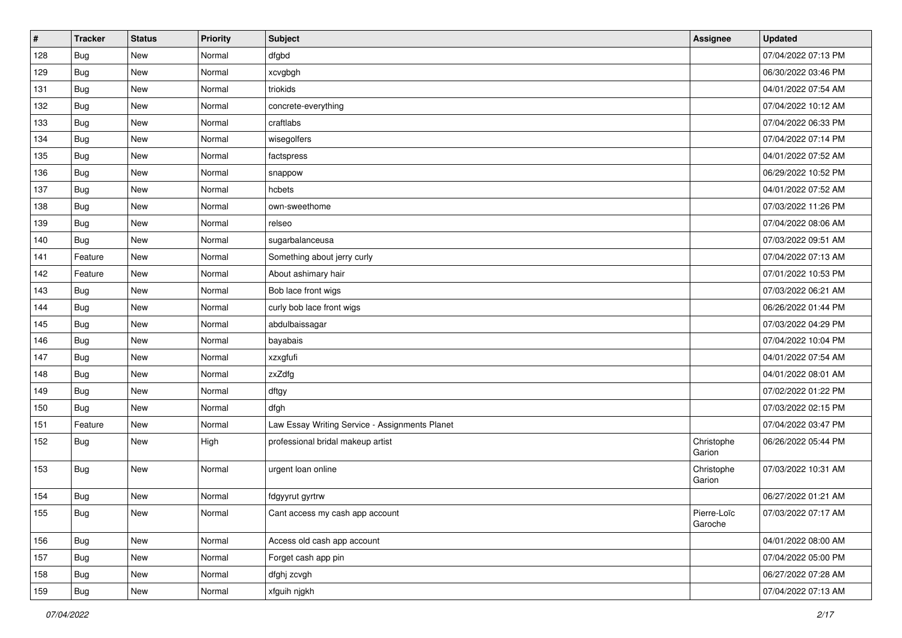| #   | <b>Tracker</b> | <b>Status</b> | <b>Priority</b> | Subject                                        | Assignee               | <b>Updated</b>      |
|-----|----------------|---------------|-----------------|------------------------------------------------|------------------------|---------------------|
| 128 | Bug            | New           | Normal          | dfgbd                                          |                        | 07/04/2022 07:13 PM |
| 129 | Bug            | New           | Normal          | xcvgbgh                                        |                        | 06/30/2022 03:46 PM |
| 131 | <b>Bug</b>     | New           | Normal          | triokids                                       |                        | 04/01/2022 07:54 AM |
| 132 | <b>Bug</b>     | New           | Normal          | concrete-everything                            |                        | 07/04/2022 10:12 AM |
| 133 | <b>Bug</b>     | New           | Normal          | craftlabs                                      |                        | 07/04/2022 06:33 PM |
| 134 | Bug            | New           | Normal          | wisegolfers                                    |                        | 07/04/2022 07:14 PM |
| 135 | Bug            | <b>New</b>    | Normal          | factspress                                     |                        | 04/01/2022 07:52 AM |
| 136 | Bug            | New           | Normal          | snappow                                        |                        | 06/29/2022 10:52 PM |
| 137 | Bug            | New           | Normal          | hcbets                                         |                        | 04/01/2022 07:52 AM |
| 138 | <b>Bug</b>     | <b>New</b>    | Normal          | own-sweethome                                  |                        | 07/03/2022 11:26 PM |
| 139 | Bug            | New           | Normal          | relseo                                         |                        | 07/04/2022 08:06 AM |
| 140 | Bug            | New           | Normal          | sugarbalanceusa                                |                        | 07/03/2022 09:51 AM |
| 141 | Feature        | New           | Normal          | Something about jerry curly                    |                        | 07/04/2022 07:13 AM |
| 142 | Feature        | <b>New</b>    | Normal          | About ashimary hair                            |                        | 07/01/2022 10:53 PM |
| 143 | Bug            | New           | Normal          | Bob lace front wigs                            |                        | 07/03/2022 06:21 AM |
| 144 | Bug            | New           | Normal          | curly bob lace front wigs                      |                        | 06/26/2022 01:44 PM |
| 145 | Bug            | New           | Normal          | abdulbaissagar                                 |                        | 07/03/2022 04:29 PM |
| 146 | <b>Bug</b>     | New           | Normal          | bayabais                                       |                        | 07/04/2022 10:04 PM |
| 147 | Bug            | New           | Normal          | xzxgfufi                                       |                        | 04/01/2022 07:54 AM |
| 148 | <b>Bug</b>     | New           | Normal          | zxZdfg                                         |                        | 04/01/2022 08:01 AM |
| 149 | <b>Bug</b>     | New           | Normal          | dftgy                                          |                        | 07/02/2022 01:22 PM |
| 150 | Bug            | New           | Normal          | dfgh                                           |                        | 07/03/2022 02:15 PM |
| 151 | Feature        | New           | Normal          | Law Essay Writing Service - Assignments Planet |                        | 07/04/2022 03:47 PM |
| 152 | Bug            | New           | High            | professional bridal makeup artist              | Christophe<br>Garion   | 06/26/2022 05:44 PM |
| 153 | <b>Bug</b>     | New           | Normal          | urgent loan online                             | Christophe<br>Garion   | 07/03/2022 10:31 AM |
| 154 | <b>Bug</b>     | <b>New</b>    | Normal          | fdgyyrut gyrtrw                                |                        | 06/27/2022 01:21 AM |
| 155 | <b>Bug</b>     | New           | Normal          | Cant access my cash app account                | Pierre-Loïc<br>Garoche | 07/03/2022 07:17 AM |
| 156 | <b>Bug</b>     | New           | Normal          | Access old cash app account                    |                        | 04/01/2022 08:00 AM |
| 157 | Bug            | New           | Normal          | Forget cash app pin                            |                        | 07/04/2022 05:00 PM |
| 158 | <b>Bug</b>     | New           | Normal          | dfghj zcvgh                                    |                        | 06/27/2022 07:28 AM |
| 159 | Bug            | New           | Normal          | xfguih njgkh                                   |                        | 07/04/2022 07:13 AM |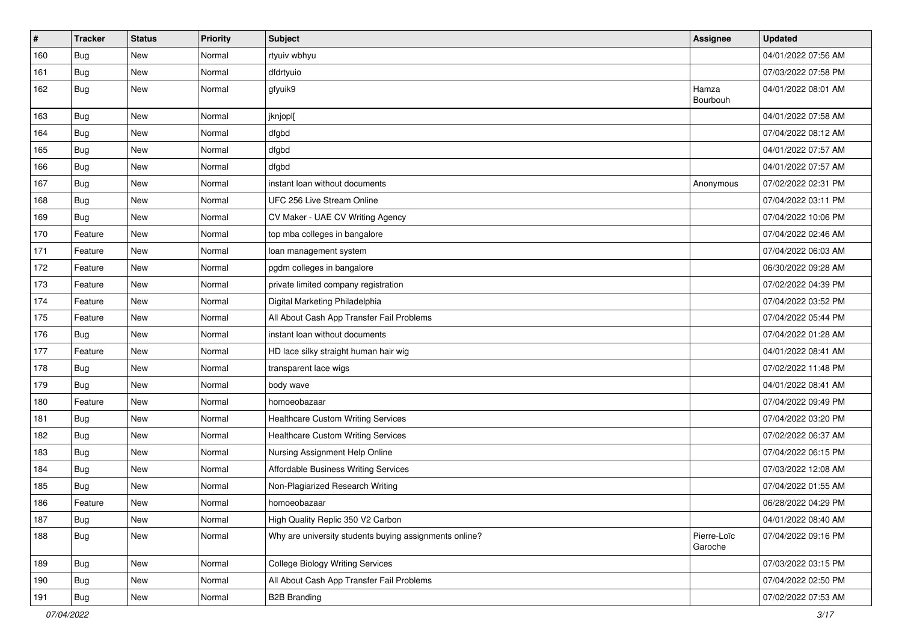| #   | <b>Tracker</b> | <b>Status</b> | <b>Priority</b> | <b>Subject</b>                                         | Assignee               | <b>Updated</b>      |
|-----|----------------|---------------|-----------------|--------------------------------------------------------|------------------------|---------------------|
| 160 | Bug            | New           | Normal          | rtyuiv wbhyu                                           |                        | 04/01/2022 07:56 AM |
| 161 | Bug            | <b>New</b>    | Normal          | dfdrtyuio                                              |                        | 07/03/2022 07:58 PM |
| 162 | <b>Bug</b>     | New           | Normal          | gfyuik9                                                | Hamza<br>Bourbouh      | 04/01/2022 08:01 AM |
| 163 | <b>Bug</b>     | <b>New</b>    | Normal          | jknjopl[                                               |                        | 04/01/2022 07:58 AM |
| 164 | <b>Bug</b>     | New           | Normal          | dfgbd                                                  |                        | 07/04/2022 08:12 AM |
| 165 | Bug            | New           | Normal          | dfgbd                                                  |                        | 04/01/2022 07:57 AM |
| 166 | Bug            | New           | Normal          | dfgbd                                                  |                        | 04/01/2022 07:57 AM |
| 167 | Bug            | New           | Normal          | instant loan without documents                         | Anonymous              | 07/02/2022 02:31 PM |
| 168 | Bug            | <b>New</b>    | Normal          | UFC 256 Live Stream Online                             |                        | 07/04/2022 03:11 PM |
| 169 | Bug            | New           | Normal          | CV Maker - UAE CV Writing Agency                       |                        | 07/04/2022 10:06 PM |
| 170 | Feature        | <b>New</b>    | Normal          | top mba colleges in bangalore                          |                        | 07/04/2022 02:46 AM |
| 171 | Feature        | New           | Normal          | loan management system                                 |                        | 07/04/2022 06:03 AM |
| 172 | Feature        | New           | Normal          | pgdm colleges in bangalore                             |                        | 06/30/2022 09:28 AM |
| 173 | Feature        | New           | Normal          | private limited company registration                   |                        | 07/02/2022 04:39 PM |
| 174 | Feature        | New           | Normal          | Digital Marketing Philadelphia                         |                        | 07/04/2022 03:52 PM |
| 175 | Feature        | New           | Normal          | All About Cash App Transfer Fail Problems              |                        | 07/04/2022 05:44 PM |
| 176 | Bug            | <b>New</b>    | Normal          | instant loan without documents                         |                        | 07/04/2022 01:28 AM |
| 177 | Feature        | New           | Normal          | HD lace silky straight human hair wig                  |                        | 04/01/2022 08:41 AM |
| 178 | Bug            | New           | Normal          | transparent lace wigs                                  |                        | 07/02/2022 11:48 PM |
| 179 | Bug            | New           | Normal          | body wave                                              |                        | 04/01/2022 08:41 AM |
| 180 | Feature        | New           | Normal          | homoeobazaar                                           |                        | 07/04/2022 09:49 PM |
| 181 | <b>Bug</b>     | New           | Normal          | <b>Healthcare Custom Writing Services</b>              |                        | 07/04/2022 03:20 PM |
| 182 | Bug            | New           | Normal          | <b>Healthcare Custom Writing Services</b>              |                        | 07/02/2022 06:37 AM |
| 183 | <b>Bug</b>     | <b>New</b>    | Normal          | Nursing Assignment Help Online                         |                        | 07/04/2022 06:15 PM |
| 184 | <b>Bug</b>     | <b>New</b>    | Normal          | <b>Affordable Business Writing Services</b>            |                        | 07/03/2022 12:08 AM |
| 185 | Bug            | New           | Normal          | Non-Plagiarized Research Writing                       |                        | 07/04/2022 01:55 AM |
| 186 | Feature        | New           | Normal          | homoeobazaar                                           |                        | 06/28/2022 04:29 PM |
| 187 | Bug            | New           | Normal          | High Quality Replic 350 V2 Carbon                      |                        | 04/01/2022 08:40 AM |
| 188 | <b>Bug</b>     | New           | Normal          | Why are university students buying assignments online? | Pierre-Loïc<br>Garoche | 07/04/2022 09:16 PM |
| 189 | Bug            | New           | Normal          | <b>College Biology Writing Services</b>                |                        | 07/03/2022 03:15 PM |
| 190 | Bug            | New           | Normal          | All About Cash App Transfer Fail Problems              |                        | 07/04/2022 02:50 PM |
| 191 | Bug            | New           | Normal          | <b>B2B Branding</b>                                    |                        | 07/02/2022 07:53 AM |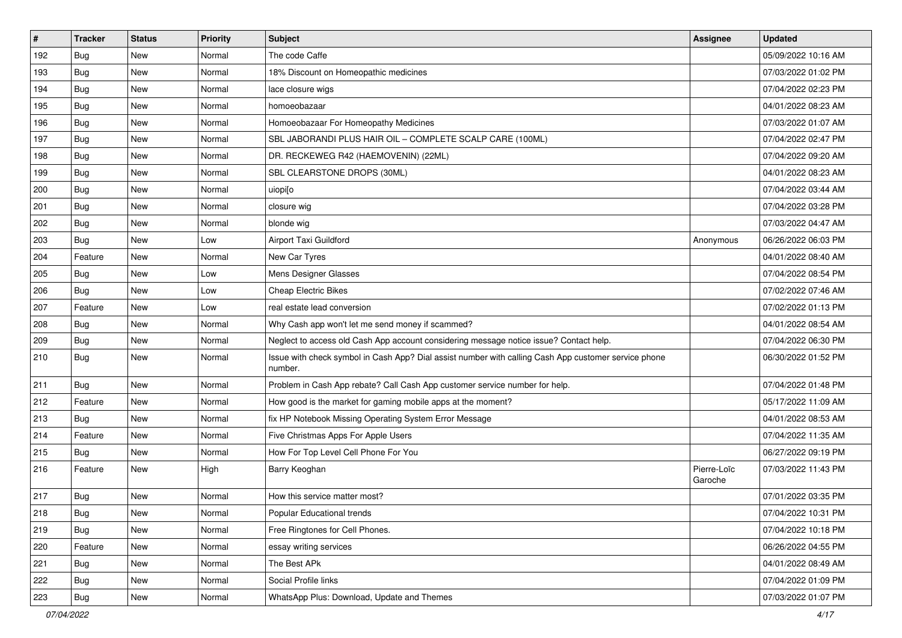| $\#$ | <b>Tracker</b> | <b>Status</b> | <b>Priority</b> | Subject                                                                                                         | <b>Assignee</b>        | <b>Updated</b>      |
|------|----------------|---------------|-----------------|-----------------------------------------------------------------------------------------------------------------|------------------------|---------------------|
| 192  | Bug            | New           | Normal          | The code Caffe                                                                                                  |                        | 05/09/2022 10:16 AM |
| 193  | <b>Bug</b>     | <b>New</b>    | Normal          | 18% Discount on Homeopathic medicines                                                                           |                        | 07/03/2022 01:02 PM |
| 194  | <b>Bug</b>     | New           | Normal          | lace closure wigs                                                                                               |                        | 07/04/2022 02:23 PM |
| 195  | Bug            | New           | Normal          | homoeobazaar                                                                                                    |                        | 04/01/2022 08:23 AM |
| 196  | <b>Bug</b>     | <b>New</b>    | Normal          | Homoeobazaar For Homeopathy Medicines                                                                           |                        | 07/03/2022 01:07 AM |
| 197  | <b>Bug</b>     | New           | Normal          | SBL JABORANDI PLUS HAIR OIL - COMPLETE SCALP CARE (100ML)                                                       |                        | 07/04/2022 02:47 PM |
| 198  | <b>Bug</b>     | <b>New</b>    | Normal          | DR. RECKEWEG R42 (HAEMOVENIN) (22ML)                                                                            |                        | 07/04/2022 09:20 AM |
| 199  | <b>Bug</b>     | New           | Normal          | SBL CLEARSTONE DROPS (30ML)                                                                                     |                        | 04/01/2022 08:23 AM |
| 200  | Bug            | New           | Normal          | uiopilo                                                                                                         |                        | 07/04/2022 03:44 AM |
| 201  | <b>Bug</b>     | New           | Normal          | closure wig                                                                                                     |                        | 07/04/2022 03:28 PM |
| 202  | <b>Bug</b>     | New           | Normal          | blonde wig                                                                                                      |                        | 07/03/2022 04:47 AM |
| 203  | Bug            | New           | Low             | Airport Taxi Guildford                                                                                          | Anonymous              | 06/26/2022 06:03 PM |
| 204  | Feature        | New           | Normal          | New Car Tyres                                                                                                   |                        | 04/01/2022 08:40 AM |
| 205  | <b>Bug</b>     | New           | Low             | Mens Designer Glasses                                                                                           |                        | 07/04/2022 08:54 PM |
| 206  | Bug            | New           | Low             | <b>Cheap Electric Bikes</b>                                                                                     |                        | 07/02/2022 07:46 AM |
| 207  | Feature        | New           | Low             | real estate lead conversion                                                                                     |                        | 07/02/2022 01:13 PM |
| 208  | Bug            | New           | Normal          | Why Cash app won't let me send money if scammed?                                                                |                        | 04/01/2022 08:54 AM |
| 209  | Bug            | New           | Normal          | Neglect to access old Cash App account considering message notice issue? Contact help.                          |                        | 07/04/2022 06:30 PM |
| 210  | Bug            | New           | Normal          | Issue with check symbol in Cash App? Dial assist number with calling Cash App customer service phone<br>number. |                        | 06/30/2022 01:52 PM |
| 211  | Bug            | New           | Normal          | Problem in Cash App rebate? Call Cash App customer service number for help.                                     |                        | 07/04/2022 01:48 PM |
| 212  | Feature        | New           | Normal          | How good is the market for gaming mobile apps at the moment?                                                    |                        | 05/17/2022 11:09 AM |
| 213  | Bug            | New           | Normal          | fix HP Notebook Missing Operating System Error Message                                                          |                        | 04/01/2022 08:53 AM |
| 214  | Feature        | New           | Normal          | Five Christmas Apps For Apple Users                                                                             |                        | 07/04/2022 11:35 AM |
| 215  | <b>Bug</b>     | New           | Normal          | How For Top Level Cell Phone For You                                                                            |                        | 06/27/2022 09:19 PM |
| 216  | Feature        | New           | High            | Barry Keoghan                                                                                                   | Pierre-Loïc<br>Garoche | 07/03/2022 11:43 PM |
| 217  | <b>Bug</b>     | <b>New</b>    | Normal          | How this service matter most?                                                                                   |                        | 07/01/2022 03:35 PM |
| 218  | Bug            | New           | Normal          | Popular Educational trends                                                                                      |                        | 07/04/2022 10:31 PM |
| 219  | Bug            | New           | Normal          | Free Ringtones for Cell Phones.                                                                                 |                        | 07/04/2022 10:18 PM |
| 220  | Feature        | New           | Normal          | essay writing services                                                                                          |                        | 06/26/2022 04:55 PM |
| 221  | Bug            | New           | Normal          | The Best APk                                                                                                    |                        | 04/01/2022 08:49 AM |
| 222  | Bug            | New           | Normal          | Social Profile links                                                                                            |                        | 07/04/2022 01:09 PM |
| 223  | <b>Bug</b>     | New           | Normal          | WhatsApp Plus: Download, Update and Themes                                                                      |                        | 07/03/2022 01:07 PM |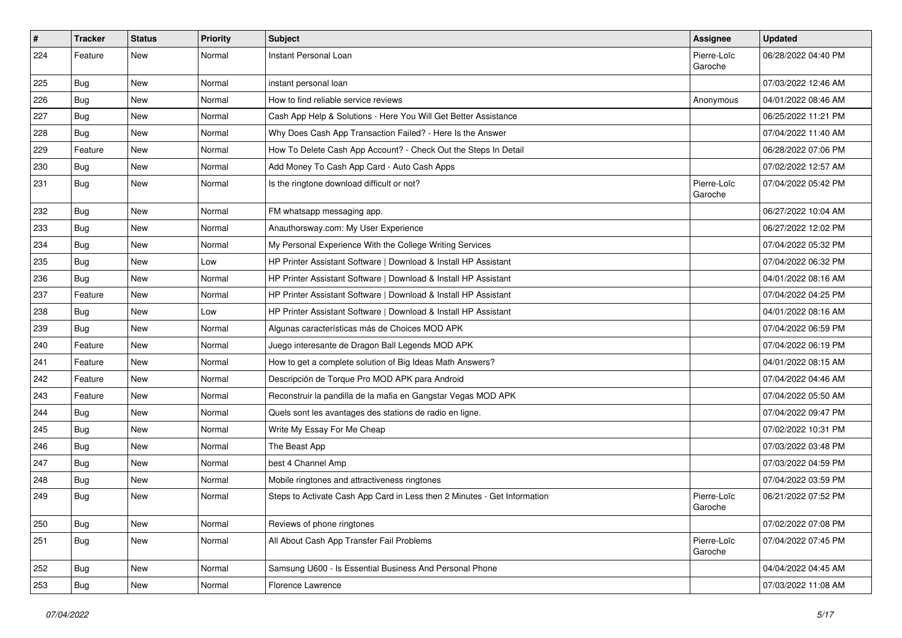| #   | <b>Tracker</b> | <b>Status</b> | <b>Priority</b> | Subject                                                                  | Assignee               | <b>Updated</b>      |
|-----|----------------|---------------|-----------------|--------------------------------------------------------------------------|------------------------|---------------------|
| 224 | Feature        | New           | Normal          | Instant Personal Loan                                                    | Pierre-Loïc<br>Garoche | 06/28/2022 04:40 PM |
| 225 | <b>Bug</b>     | <b>New</b>    | Normal          | instant personal loan                                                    |                        | 07/03/2022 12:46 AM |
| 226 | <b>Bug</b>     | <b>New</b>    | Normal          | How to find reliable service reviews                                     | Anonymous              | 04/01/2022 08:46 AM |
| 227 | Bug            | <b>New</b>    | Normal          | Cash App Help & Solutions - Here You Will Get Better Assistance          |                        | 06/25/2022 11:21 PM |
| 228 | Bug            | <b>New</b>    | Normal          | Why Does Cash App Transaction Failed? - Here Is the Answer               |                        | 07/04/2022 11:40 AM |
| 229 | Feature        | <b>New</b>    | Normal          | How To Delete Cash App Account? - Check Out the Steps In Detail          |                        | 06/28/2022 07:06 PM |
| 230 | Bug            | New           | Normal          | Add Money To Cash App Card - Auto Cash Apps                              |                        | 07/02/2022 12:57 AM |
| 231 | <b>Bug</b>     | New           | Normal          | Is the ringtone download difficult or not?                               | Pierre-Loïc<br>Garoche | 07/04/2022 05:42 PM |
| 232 | <b>Bug</b>     | <b>New</b>    | Normal          | FM whatsapp messaging app.                                               |                        | 06/27/2022 10:04 AM |
| 233 | <b>Bug</b>     | <b>New</b>    | Normal          | Anauthorsway.com: My User Experience                                     |                        | 06/27/2022 12:02 PM |
| 234 | <b>Bug</b>     | <b>New</b>    | Normal          | My Personal Experience With the College Writing Services                 |                        | 07/04/2022 05:32 PM |
| 235 | Bug            | <b>New</b>    | Low             | HP Printer Assistant Software   Download & Install HP Assistant          |                        | 07/04/2022 06:32 PM |
| 236 | <b>Bug</b>     | <b>New</b>    | Normal          | HP Printer Assistant Software   Download & Install HP Assistant          |                        | 04/01/2022 08:16 AM |
| 237 | Feature        | New           | Normal          | HP Printer Assistant Software   Download & Install HP Assistant          |                        | 07/04/2022 04:25 PM |
| 238 | <b>Bug</b>     | <b>New</b>    | Low             | HP Printer Assistant Software   Download & Install HP Assistant          |                        | 04/01/2022 08:16 AM |
| 239 | Bug            | <b>New</b>    | Normal          | Algunas características más de Choices MOD APK                           |                        | 07/04/2022 06:59 PM |
| 240 | Feature        | <b>New</b>    | Normal          | Juego interesante de Dragon Ball Legends MOD APK                         |                        | 07/04/2022 06:19 PM |
| 241 | Feature        | <b>New</b>    | Normal          | How to get a complete solution of Big Ideas Math Answers?                |                        | 04/01/2022 08:15 AM |
| 242 | Feature        | New           | Normal          | Descripción de Torque Pro MOD APK para Android                           |                        | 07/04/2022 04:46 AM |
| 243 | Feature        | <b>New</b>    | Normal          | Reconstruir la pandilla de la mafia en Gangstar Vegas MOD APK            |                        | 07/04/2022 05:50 AM |
| 244 | Bug            | <b>New</b>    | Normal          | Quels sont les avantages des stations de radio en ligne.                 |                        | 07/04/2022 09:47 PM |
| 245 | <b>Bug</b>     | <b>New</b>    | Normal          | Write My Essay For Me Cheap                                              |                        | 07/02/2022 10:31 PM |
| 246 | <b>Bug</b>     | <b>New</b>    | Normal          | The Beast App                                                            |                        | 07/03/2022 03:48 PM |
| 247 | <b>Bug</b>     | New           | Normal          | best 4 Channel Amp                                                       |                        | 07/03/2022 04:59 PM |
| 248 | <b>Bug</b>     | <b>New</b>    | Normal          | Mobile ringtones and attractiveness ringtones                            |                        | 07/04/2022 03:59 PM |
| 249 | <b>Bug</b>     | <b>New</b>    | Normal          | Steps to Activate Cash App Card in Less then 2 Minutes - Get Information | Pierre-Loïc<br>Garoche | 06/21/2022 07:52 PM |
| 250 | Bug            | New           | Normal          | Reviews of phone ringtones                                               |                        | 07/02/2022 07:08 PM |
| 251 | <b>Bug</b>     | New           | Normal          | All About Cash App Transfer Fail Problems                                | Pierre-Loïc<br>Garoche | 07/04/2022 07:45 PM |
| 252 | <b>Bug</b>     | New           | Normal          | Samsung U600 - Is Essential Business And Personal Phone                  |                        | 04/04/2022 04:45 AM |
| 253 | <b>Bug</b>     | New           | Normal          | Florence Lawrence                                                        |                        | 07/03/2022 11:08 AM |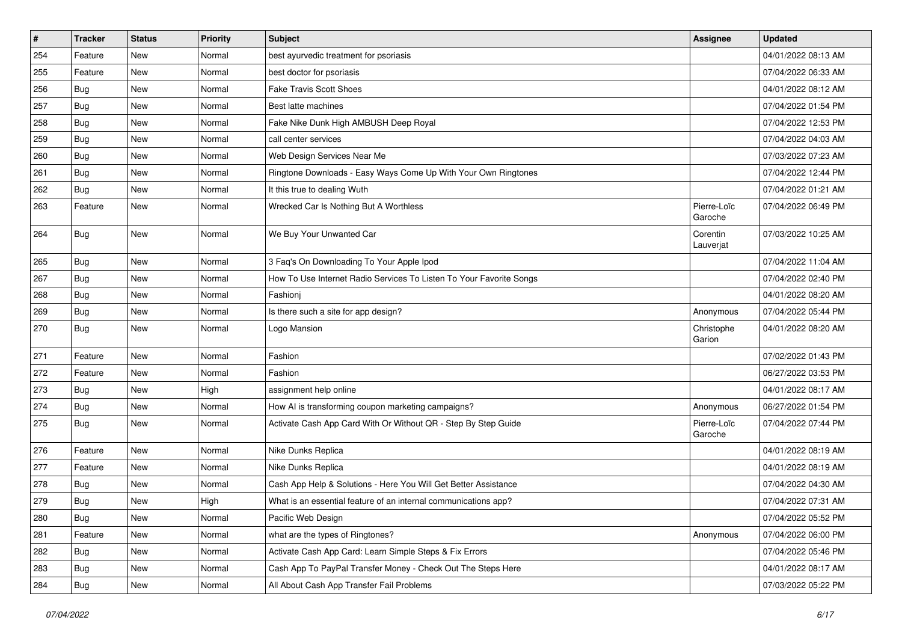| $\#$ | <b>Tracker</b> | <b>Status</b> | <b>Priority</b> | Subject                                                             | <b>Assignee</b>        | <b>Updated</b>      |
|------|----------------|---------------|-----------------|---------------------------------------------------------------------|------------------------|---------------------|
| 254  | Feature        | New           | Normal          | best ayurvedic treatment for psoriasis                              |                        | 04/01/2022 08:13 AM |
| 255  | Feature        | New           | Normal          | best doctor for psoriasis                                           |                        | 07/04/2022 06:33 AM |
| 256  | Bug            | New           | Normal          | <b>Fake Travis Scott Shoes</b>                                      |                        | 04/01/2022 08:12 AM |
| 257  | Bug            | New           | Normal          | Best latte machines                                                 |                        | 07/04/2022 01:54 PM |
| 258  | <b>Bug</b>     | New           | Normal          | Fake Nike Dunk High AMBUSH Deep Royal                               |                        | 07/04/2022 12:53 PM |
| 259  | Bug            | New           | Normal          | call center services                                                |                        | 07/04/2022 04:03 AM |
| 260  | <b>Bug</b>     | <b>New</b>    | Normal          | Web Design Services Near Me                                         |                        | 07/03/2022 07:23 AM |
| 261  | <b>Bug</b>     | New           | Normal          | Ringtone Downloads - Easy Ways Come Up With Your Own Ringtones      |                        | 07/04/2022 12:44 PM |
| 262  | Bug            | New           | Normal          | It this true to dealing Wuth                                        |                        | 07/04/2022 01:21 AM |
| 263  | Feature        | New           | Normal          | Wrecked Car Is Nothing But A Worthless                              | Pierre-Loïc<br>Garoche | 07/04/2022 06:49 PM |
| 264  | <b>Bug</b>     | New           | Normal          | We Buy Your Unwanted Car                                            | Corentin<br>Lauverjat  | 07/03/2022 10:25 AM |
| 265  | Bug            | New           | Normal          | 3 Faq's On Downloading To Your Apple Ipod                           |                        | 07/04/2022 11:04 AM |
| 267  | <b>Bug</b>     | <b>New</b>    | Normal          | How To Use Internet Radio Services To Listen To Your Favorite Songs |                        | 07/04/2022 02:40 PM |
| 268  | Bug            | New           | Normal          | Fashioni                                                            |                        | 04/01/2022 08:20 AM |
| 269  | Bug            | New           | Normal          | Is there such a site for app design?                                | Anonymous              | 07/04/2022 05:44 PM |
| 270  | <b>Bug</b>     | New           | Normal          | Logo Mansion                                                        | Christophe<br>Garion   | 04/01/2022 08:20 AM |
| 271  | Feature        | New           | Normal          | Fashion                                                             |                        | 07/02/2022 01:43 PM |
| 272  | Feature        | New           | Normal          | Fashion                                                             |                        | 06/27/2022 03:53 PM |
| 273  | Bug            | New           | High            | assignment help online                                              |                        | 04/01/2022 08:17 AM |
| 274  | Bug            | New           | Normal          | How AI is transforming coupon marketing campaigns?                  | Anonymous              | 06/27/2022 01:54 PM |
| 275  | <b>Bug</b>     | New           | Normal          | Activate Cash App Card With Or Without QR - Step By Step Guide      | Pierre-Loïc<br>Garoche | 07/04/2022 07:44 PM |
| 276  | Feature        | New           | Normal          | Nike Dunks Replica                                                  |                        | 04/01/2022 08:19 AM |
| 277  | Feature        | New           | Normal          | Nike Dunks Replica                                                  |                        | 04/01/2022 08:19 AM |
| 278  | <b>Bug</b>     | New           | Normal          | Cash App Help & Solutions - Here You Will Get Better Assistance     |                        | 07/04/2022 04:30 AM |
| 279  | <b>Bug</b>     | New           | High            | What is an essential feature of an internal communications app?     |                        | 07/04/2022 07:31 AM |
| 280  | <b>Bug</b>     | New           | Normal          | Pacific Web Design                                                  |                        | 07/04/2022 05:52 PM |
| 281  | Feature        | New           | Normal          | what are the types of Ringtones?                                    | Anonymous              | 07/04/2022 06:00 PM |
| 282  | <b>Bug</b>     | New           | Normal          | Activate Cash App Card: Learn Simple Steps & Fix Errors             |                        | 07/04/2022 05:46 PM |
| 283  | <b>Bug</b>     | New           | Normal          | Cash App To PayPal Transfer Money - Check Out The Steps Here        |                        | 04/01/2022 08:17 AM |
| 284  | <b>Bug</b>     | New           | Normal          | All About Cash App Transfer Fail Problems                           |                        | 07/03/2022 05:22 PM |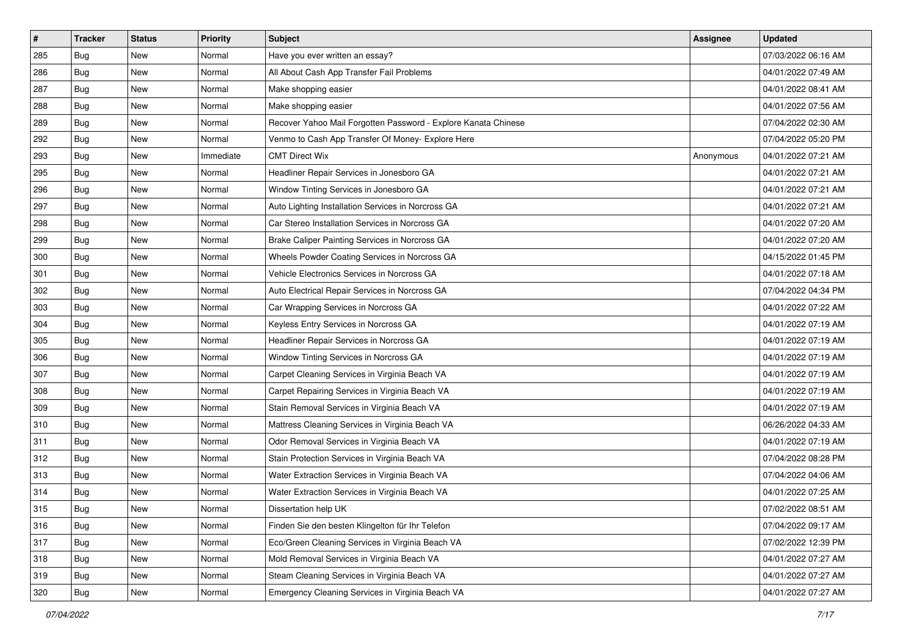| #   | <b>Tracker</b> | <b>Status</b> | <b>Priority</b> | Subject                                                        | Assignee  | <b>Updated</b>      |
|-----|----------------|---------------|-----------------|----------------------------------------------------------------|-----------|---------------------|
| 285 | <b>Bug</b>     | New           | Normal          | Have you ever written an essay?                                |           | 07/03/2022 06:16 AM |
| 286 | <b>Bug</b>     | <b>New</b>    | Normal          | All About Cash App Transfer Fail Problems                      |           | 04/01/2022 07:49 AM |
| 287 | Bug            | New           | Normal          | Make shopping easier                                           |           | 04/01/2022 08:41 AM |
| 288 | Bug            | New           | Normal          | Make shopping easier                                           |           | 04/01/2022 07:56 AM |
| 289 | <b>Bug</b>     | New           | Normal          | Recover Yahoo Mail Forgotten Password - Explore Kanata Chinese |           | 07/04/2022 02:30 AM |
| 292 | <b>Bug</b>     | New           | Normal          | Venmo to Cash App Transfer Of Money- Explore Here              |           | 07/04/2022 05:20 PM |
| 293 | Bug            | New           | Immediate       | <b>CMT Direct Wix</b>                                          | Anonymous | 04/01/2022 07:21 AM |
| 295 | Bug            | New           | Normal          | Headliner Repair Services in Jonesboro GA                      |           | 04/01/2022 07:21 AM |
| 296 | Bug            | New           | Normal          | Window Tinting Services in Jonesboro GA                        |           | 04/01/2022 07:21 AM |
| 297 | <b>Bug</b>     | New           | Normal          | Auto Lighting Installation Services in Norcross GA             |           | 04/01/2022 07:21 AM |
| 298 | <b>Bug</b>     | New           | Normal          | Car Stereo Installation Services in Norcross GA                |           | 04/01/2022 07:20 AM |
| 299 | Bug            | New           | Normal          | Brake Caliper Painting Services in Norcross GA                 |           | 04/01/2022 07:20 AM |
| 300 | Bug            | New           | Normal          | Wheels Powder Coating Services in Norcross GA                  |           | 04/15/2022 01:45 PM |
| 301 | Bug            | New           | Normal          | Vehicle Electronics Services in Norcross GA                    |           | 04/01/2022 07:18 AM |
| 302 | <b>Bug</b>     | New           | Normal          | Auto Electrical Repair Services in Norcross GA                 |           | 07/04/2022 04:34 PM |
| 303 | Bug            | New           | Normal          | Car Wrapping Services in Norcross GA                           |           | 04/01/2022 07:22 AM |
| 304 | Bug            | New           | Normal          | Keyless Entry Services in Norcross GA                          |           | 04/01/2022 07:19 AM |
| 305 | <b>Bug</b>     | New           | Normal          | Headliner Repair Services in Norcross GA                       |           | 04/01/2022 07:19 AM |
| 306 | Bug            | New           | Normal          | Window Tinting Services in Norcross GA                         |           | 04/01/2022 07:19 AM |
| 307 | <b>Bug</b>     | New           | Normal          | Carpet Cleaning Services in Virginia Beach VA                  |           | 04/01/2022 07:19 AM |
| 308 | <b>Bug</b>     | New           | Normal          | Carpet Repairing Services in Virginia Beach VA                 |           | 04/01/2022 07:19 AM |
| 309 | Bug            | New           | Normal          | Stain Removal Services in Virginia Beach VA                    |           | 04/01/2022 07:19 AM |
| 310 | <b>Bug</b>     | New           | Normal          | Mattress Cleaning Services in Virginia Beach VA                |           | 06/26/2022 04:33 AM |
| 311 | <b>Bug</b>     | New           | Normal          | Odor Removal Services in Virginia Beach VA                     |           | 04/01/2022 07:19 AM |
| 312 | Bug            | New           | Normal          | Stain Protection Services in Virginia Beach VA                 |           | 07/04/2022 08:28 PM |
| 313 | Bug            | New           | Normal          | Water Extraction Services in Virginia Beach VA                 |           | 07/04/2022 04:06 AM |
| 314 | Bug            | New           | Normal          | Water Extraction Services in Virginia Beach VA                 |           | 04/01/2022 07:25 AM |
| 315 | <b>Bug</b>     | New           | Normal          | Dissertation help UK                                           |           | 07/02/2022 08:51 AM |
| 316 | Bug            | New           | Normal          | Finden Sie den besten Klingelton für Ihr Telefon               |           | 07/04/2022 09:17 AM |
| 317 | <b>Bug</b>     | New           | Normal          | Eco/Green Cleaning Services in Virginia Beach VA               |           | 07/02/2022 12:39 PM |
| 318 | <b>Bug</b>     | New           | Normal          | Mold Removal Services in Virginia Beach VA                     |           | 04/01/2022 07:27 AM |
| 319 | <b>Bug</b>     | New           | Normal          | Steam Cleaning Services in Virginia Beach VA                   |           | 04/01/2022 07:27 AM |
| 320 | <b>Bug</b>     | New           | Normal          | Emergency Cleaning Services in Virginia Beach VA               |           | 04/01/2022 07:27 AM |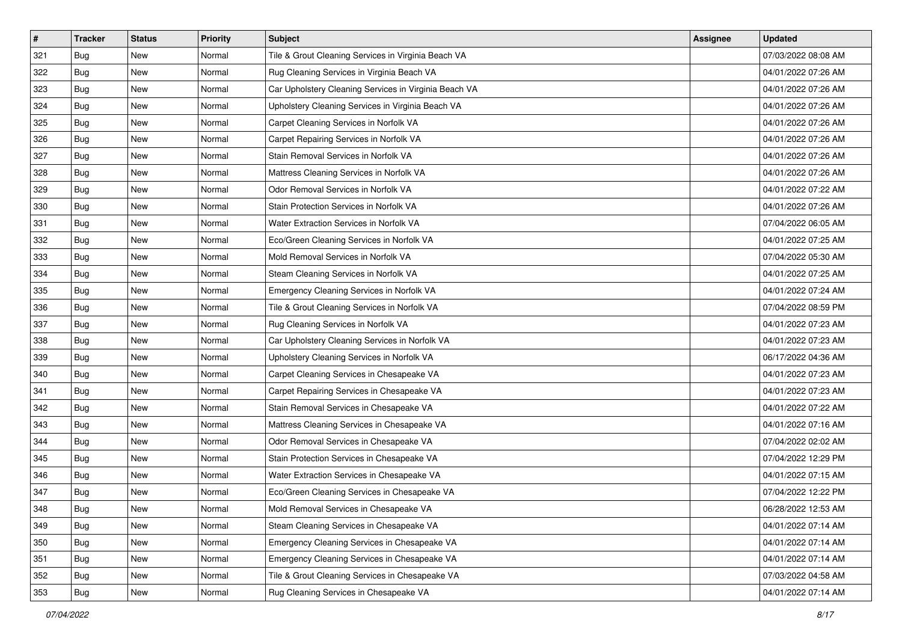| #   | <b>Tracker</b> | <b>Status</b> | <b>Priority</b> | <b>Subject</b>                                        | Assignee | <b>Updated</b>      |
|-----|----------------|---------------|-----------------|-------------------------------------------------------|----------|---------------------|
| 321 | <b>Bug</b>     | New           | Normal          | Tile & Grout Cleaning Services in Virginia Beach VA   |          | 07/03/2022 08:08 AM |
| 322 | <b>Bug</b>     | New           | Normal          | Rug Cleaning Services in Virginia Beach VA            |          | 04/01/2022 07:26 AM |
| 323 | Bug            | New           | Normal          | Car Upholstery Cleaning Services in Virginia Beach VA |          | 04/01/2022 07:26 AM |
| 324 | Bug            | New           | Normal          | Upholstery Cleaning Services in Virginia Beach VA     |          | 04/01/2022 07:26 AM |
| 325 | <b>Bug</b>     | New           | Normal          | Carpet Cleaning Services in Norfolk VA                |          | 04/01/2022 07:26 AM |
| 326 | <b>Bug</b>     | New           | Normal          | Carpet Repairing Services in Norfolk VA               |          | 04/01/2022 07:26 AM |
| 327 | Bug            | New           | Normal          | Stain Removal Services in Norfolk VA                  |          | 04/01/2022 07:26 AM |
| 328 | Bug            | New           | Normal          | Mattress Cleaning Services in Norfolk VA              |          | 04/01/2022 07:26 AM |
| 329 | Bug            | New           | Normal          | Odor Removal Services in Norfolk VA                   |          | 04/01/2022 07:22 AM |
| 330 | <b>Bug</b>     | New           | Normal          | Stain Protection Services in Norfolk VA               |          | 04/01/2022 07:26 AM |
| 331 | <b>Bug</b>     | New           | Normal          | Water Extraction Services in Norfolk VA               |          | 07/04/2022 06:05 AM |
| 332 | Bug            | New           | Normal          | Eco/Green Cleaning Services in Norfolk VA             |          | 04/01/2022 07:25 AM |
| 333 | <b>Bug</b>     | New           | Normal          | Mold Removal Services in Norfolk VA                   |          | 07/04/2022 05:30 AM |
| 334 | Bug            | New           | Normal          | Steam Cleaning Services in Norfolk VA                 |          | 04/01/2022 07:25 AM |
| 335 | <b>Bug</b>     | New           | Normal          | Emergency Cleaning Services in Norfolk VA             |          | 04/01/2022 07:24 AM |
| 336 | Bug            | New           | Normal          | Tile & Grout Cleaning Services in Norfolk VA          |          | 07/04/2022 08:59 PM |
| 337 | Bug            | New           | Normal          | Rug Cleaning Services in Norfolk VA                   |          | 04/01/2022 07:23 AM |
| 338 | <b>Bug</b>     | New           | Normal          | Car Upholstery Cleaning Services in Norfolk VA        |          | 04/01/2022 07:23 AM |
| 339 | <b>Bug</b>     | New           | Normal          | Upholstery Cleaning Services in Norfolk VA            |          | 06/17/2022 04:36 AM |
| 340 | <b>Bug</b>     | New           | Normal          | Carpet Cleaning Services in Chesapeake VA             |          | 04/01/2022 07:23 AM |
| 341 | Bug            | New           | Normal          | Carpet Repairing Services in Chesapeake VA            |          | 04/01/2022 07:23 AM |
| 342 | Bug            | New           | Normal          | Stain Removal Services in Chesapeake VA               |          | 04/01/2022 07:22 AM |
| 343 | <b>Bug</b>     | New           | Normal          | Mattress Cleaning Services in Chesapeake VA           |          | 04/01/2022 07:16 AM |
| 344 | <b>Bug</b>     | New           | Normal          | Odor Removal Services in Chesapeake VA                |          | 07/04/2022 02:02 AM |
| 345 | Bug            | New           | Normal          | Stain Protection Services in Chesapeake VA            |          | 07/04/2022 12:29 PM |
| 346 | Bug            | New           | Normal          | Water Extraction Services in Chesapeake VA            |          | 04/01/2022 07:15 AM |
| 347 | <b>Bug</b>     | New           | Normal          | Eco/Green Cleaning Services in Chesapeake VA          |          | 07/04/2022 12:22 PM |
| 348 | <b>Bug</b>     | New           | Normal          | Mold Removal Services in Chesapeake VA                |          | 06/28/2022 12:53 AM |
| 349 | <b>Bug</b>     | New           | Normal          | Steam Cleaning Services in Chesapeake VA              |          | 04/01/2022 07:14 AM |
| 350 | <b>Bug</b>     | New           | Normal          | Emergency Cleaning Services in Chesapeake VA          |          | 04/01/2022 07:14 AM |
| 351 | <b>Bug</b>     | New           | Normal          | Emergency Cleaning Services in Chesapeake VA          |          | 04/01/2022 07:14 AM |
| 352 | <b>Bug</b>     | New           | Normal          | Tile & Grout Cleaning Services in Chesapeake VA       |          | 07/03/2022 04:58 AM |
| 353 | <b>Bug</b>     | New           | Normal          | Rug Cleaning Services in Chesapeake VA                |          | 04/01/2022 07:14 AM |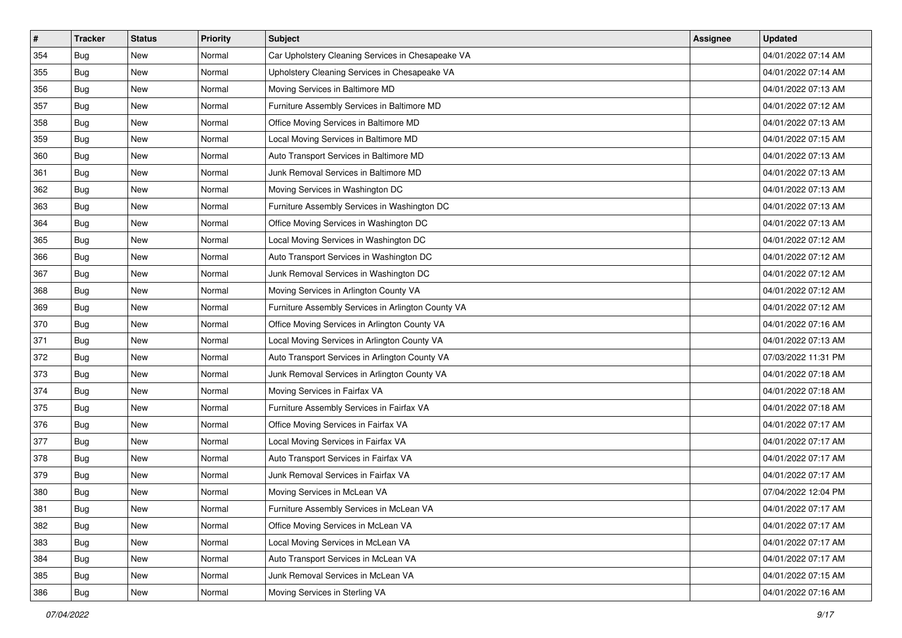| $\sharp$ | <b>Tracker</b> | <b>Status</b> | <b>Priority</b> | <b>Subject</b>                                     | Assignee | <b>Updated</b>      |
|----------|----------------|---------------|-----------------|----------------------------------------------------|----------|---------------------|
| 354      | Bug            | New           | Normal          | Car Upholstery Cleaning Services in Chesapeake VA  |          | 04/01/2022 07:14 AM |
| 355      | Bug            | New           | Normal          | Upholstery Cleaning Services in Chesapeake VA      |          | 04/01/2022 07:14 AM |
| 356      | Bug            | New           | Normal          | Moving Services in Baltimore MD                    |          | 04/01/2022 07:13 AM |
| 357      | Bug            | New           | Normal          | Furniture Assembly Services in Baltimore MD        |          | 04/01/2022 07:12 AM |
| 358      | Bug            | New           | Normal          | Office Moving Services in Baltimore MD             |          | 04/01/2022 07:13 AM |
| 359      | Bug            | New           | Normal          | Local Moving Services in Baltimore MD              |          | 04/01/2022 07:15 AM |
| 360      | Bug            | New           | Normal          | Auto Transport Services in Baltimore MD            |          | 04/01/2022 07:13 AM |
| 361      | Bug            | New           | Normal          | Junk Removal Services in Baltimore MD              |          | 04/01/2022 07:13 AM |
| 362      | Bug            | New           | Normal          | Moving Services in Washington DC                   |          | 04/01/2022 07:13 AM |
| 363      | Bug            | New           | Normal          | Furniture Assembly Services in Washington DC       |          | 04/01/2022 07:13 AM |
| 364      | Bug            | New           | Normal          | Office Moving Services in Washington DC            |          | 04/01/2022 07:13 AM |
| 365      | Bug            | New           | Normal          | Local Moving Services in Washington DC             |          | 04/01/2022 07:12 AM |
| 366      | Bug            | New           | Normal          | Auto Transport Services in Washington DC           |          | 04/01/2022 07:12 AM |
| 367      | Bug            | New           | Normal          | Junk Removal Services in Washington DC             |          | 04/01/2022 07:12 AM |
| 368      | <b>Bug</b>     | New           | Normal          | Moving Services in Arlington County VA             |          | 04/01/2022 07:12 AM |
| 369      | Bug            | New           | Normal          | Furniture Assembly Services in Arlington County VA |          | 04/01/2022 07:12 AM |
| 370      | <b>Bug</b>     | New           | Normal          | Office Moving Services in Arlington County VA      |          | 04/01/2022 07:16 AM |
| 371      | Bug            | New           | Normal          | Local Moving Services in Arlington County VA       |          | 04/01/2022 07:13 AM |
| 372      | Bug            | New           | Normal          | Auto Transport Services in Arlington County VA     |          | 07/03/2022 11:31 PM |
| 373      | <b>Bug</b>     | New           | Normal          | Junk Removal Services in Arlington County VA       |          | 04/01/2022 07:18 AM |
| 374      | Bug            | New           | Normal          | Moving Services in Fairfax VA                      |          | 04/01/2022 07:18 AM |
| 375      | Bug            | New           | Normal          | Furniture Assembly Services in Fairfax VA          |          | 04/01/2022 07:18 AM |
| 376      | Bug            | New           | Normal          | Office Moving Services in Fairfax VA               |          | 04/01/2022 07:17 AM |
| 377      | Bug            | New           | Normal          | Local Moving Services in Fairfax VA                |          | 04/01/2022 07:17 AM |
| 378      | Bug            | New           | Normal          | Auto Transport Services in Fairfax VA              |          | 04/01/2022 07:17 AM |
| 379      | Bug            | New           | Normal          | Junk Removal Services in Fairfax VA                |          | 04/01/2022 07:17 AM |
| 380      | <b>Bug</b>     | New           | Normal          | Moving Services in McLean VA                       |          | 07/04/2022 12:04 PM |
| 381      | <b>Bug</b>     | New           | Normal          | Furniture Assembly Services in McLean VA           |          | 04/01/2022 07:17 AM |
| 382      | Bug            | New           | Normal          | Office Moving Services in McLean VA                |          | 04/01/2022 07:17 AM |
| 383      | Bug            | New           | Normal          | Local Moving Services in McLean VA                 |          | 04/01/2022 07:17 AM |
| 384      | Bug            | New           | Normal          | Auto Transport Services in McLean VA               |          | 04/01/2022 07:17 AM |
| 385      | Bug            | New           | Normal          | Junk Removal Services in McLean VA                 |          | 04/01/2022 07:15 AM |
| 386      | <b>Bug</b>     | New           | Normal          | Moving Services in Sterling VA                     |          | 04/01/2022 07:16 AM |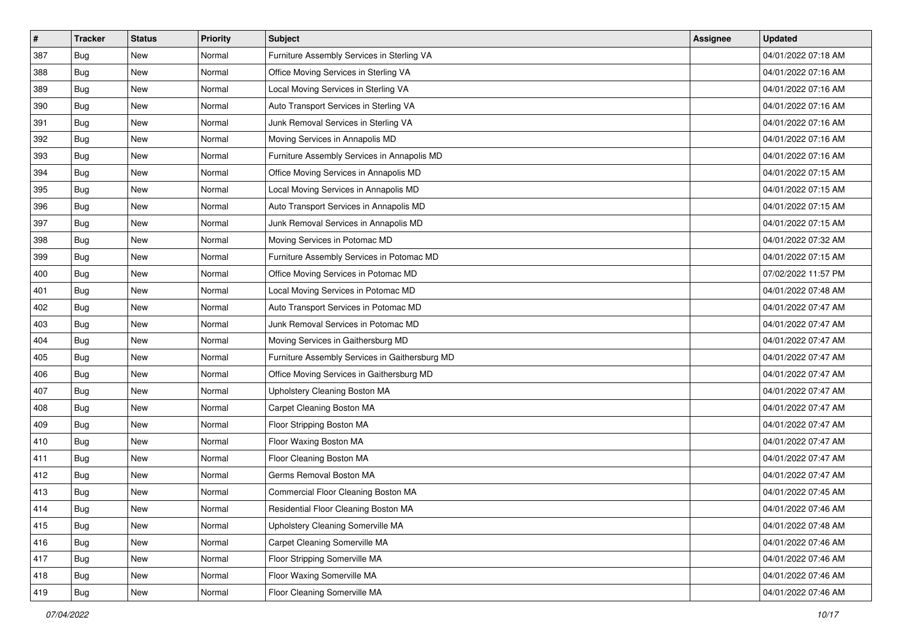| $\#$ | <b>Tracker</b> | <b>Status</b> | <b>Priority</b> | Subject                                        | Assignee | <b>Updated</b>      |
|------|----------------|---------------|-----------------|------------------------------------------------|----------|---------------------|
| 387  | Bug            | New           | Normal          | Furniture Assembly Services in Sterling VA     |          | 04/01/2022 07:18 AM |
| 388  | Bug            | New           | Normal          | Office Moving Services in Sterling VA          |          | 04/01/2022 07:16 AM |
| 389  | Bug            | New           | Normal          | Local Moving Services in Sterling VA           |          | 04/01/2022 07:16 AM |
| 390  | Bug            | New           | Normal          | Auto Transport Services in Sterling VA         |          | 04/01/2022 07:16 AM |
| 391  | <b>Bug</b>     | New           | Normal          | Junk Removal Services in Sterling VA           |          | 04/01/2022 07:16 AM |
| 392  | Bug            | New           | Normal          | Moving Services in Annapolis MD                |          | 04/01/2022 07:16 AM |
| 393  | Bug            | New           | Normal          | Furniture Assembly Services in Annapolis MD    |          | 04/01/2022 07:16 AM |
| 394  | Bug            | New           | Normal          | Office Moving Services in Annapolis MD         |          | 04/01/2022 07:15 AM |
| 395  | Bug            | New           | Normal          | Local Moving Services in Annapolis MD          |          | 04/01/2022 07:15 AM |
| 396  | Bug            | New           | Normal          | Auto Transport Services in Annapolis MD        |          | 04/01/2022 07:15 AM |
| 397  | Bug            | New           | Normal          | Junk Removal Services in Annapolis MD          |          | 04/01/2022 07:15 AM |
| 398  | Bug            | New           | Normal          | Moving Services in Potomac MD                  |          | 04/01/2022 07:32 AM |
| 399  | Bug            | New           | Normal          | Furniture Assembly Services in Potomac MD      |          | 04/01/2022 07:15 AM |
| 400  | Bug            | New           | Normal          | Office Moving Services in Potomac MD           |          | 07/02/2022 11:57 PM |
| 401  | <b>Bug</b>     | New           | Normal          | Local Moving Services in Potomac MD            |          | 04/01/2022 07:48 AM |
| 402  | Bug            | New           | Normal          | Auto Transport Services in Potomac MD          |          | 04/01/2022 07:47 AM |
| 403  | Bug            | New           | Normal          | Junk Removal Services in Potomac MD            |          | 04/01/2022 07:47 AM |
| 404  | <b>Bug</b>     | New           | Normal          | Moving Services in Gaithersburg MD             |          | 04/01/2022 07:47 AM |
| 405  | Bug            | New           | Normal          | Furniture Assembly Services in Gaithersburg MD |          | 04/01/2022 07:47 AM |
| 406  | Bug            | New           | Normal          | Office Moving Services in Gaithersburg MD      |          | 04/01/2022 07:47 AM |
| 407  | Bug            | New           | Normal          | Upholstery Cleaning Boston MA                  |          | 04/01/2022 07:47 AM |
| 408  | Bug            | New           | Normal          | Carpet Cleaning Boston MA                      |          | 04/01/2022 07:47 AM |
| 409  | <b>Bug</b>     | New           | Normal          | Floor Stripping Boston MA                      |          | 04/01/2022 07:47 AM |
| 410  | Bug            | New           | Normal          | Floor Waxing Boston MA                         |          | 04/01/2022 07:47 AM |
| 411  | Bug            | New           | Normal          | Floor Cleaning Boston MA                       |          | 04/01/2022 07:47 AM |
| 412  | Bug            | New           | Normal          | Germs Removal Boston MA                        |          | 04/01/2022 07:47 AM |
| 413  | <b>Bug</b>     | New           | Normal          | Commercial Floor Cleaning Boston MA            |          | 04/01/2022 07:45 AM |
| 414  | <b>Bug</b>     | New           | Normal          | Residential Floor Cleaning Boston MA           |          | 04/01/2022 07:46 AM |
| 415  | Bug            | New           | Normal          | Upholstery Cleaning Somerville MA              |          | 04/01/2022 07:48 AM |
| 416  | <b>Bug</b>     | New           | Normal          | Carpet Cleaning Somerville MA                  |          | 04/01/2022 07:46 AM |
| 417  | Bug            | New           | Normal          | Floor Stripping Somerville MA                  |          | 04/01/2022 07:46 AM |
| 418  | <b>Bug</b>     | New           | Normal          | Floor Waxing Somerville MA                     |          | 04/01/2022 07:46 AM |
| 419  | <b>Bug</b>     | New           | Normal          | Floor Cleaning Somerville MA                   |          | 04/01/2022 07:46 AM |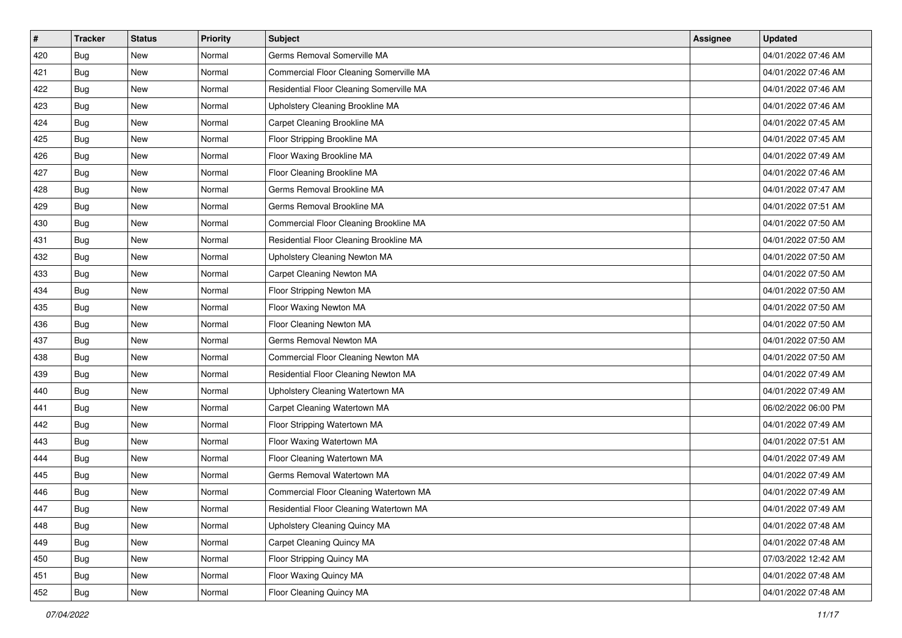| #   | <b>Tracker</b> | <b>Status</b> | <b>Priority</b> | <b>Subject</b>                           | <b>Assignee</b> | <b>Updated</b>      |
|-----|----------------|---------------|-----------------|------------------------------------------|-----------------|---------------------|
| 420 | <b>Bug</b>     | New           | Normal          | Germs Removal Somerville MA              |                 | 04/01/2022 07:46 AM |
| 421 | <b>Bug</b>     | New           | Normal          | Commercial Floor Cleaning Somerville MA  |                 | 04/01/2022 07:46 AM |
| 422 | Bug            | New           | Normal          | Residential Floor Cleaning Somerville MA |                 | 04/01/2022 07:46 AM |
| 423 | Bug            | New           | Normal          | Upholstery Cleaning Brookline MA         |                 | 04/01/2022 07:46 AM |
| 424 | <b>Bug</b>     | New           | Normal          | Carpet Cleaning Brookline MA             |                 | 04/01/2022 07:45 AM |
| 425 | <b>Bug</b>     | New           | Normal          | Floor Stripping Brookline MA             |                 | 04/01/2022 07:45 AM |
| 426 | Bug            | New           | Normal          | Floor Waxing Brookline MA                |                 | 04/01/2022 07:49 AM |
| 427 | <b>Bug</b>     | New           | Normal          | Floor Cleaning Brookline MA              |                 | 04/01/2022 07:46 AM |
| 428 | Bug            | New           | Normal          | Germs Removal Brookline MA               |                 | 04/01/2022 07:47 AM |
| 429 | <b>Bug</b>     | New           | Normal          | Germs Removal Brookline MA               |                 | 04/01/2022 07:51 AM |
| 430 | <b>Bug</b>     | New           | Normal          | Commercial Floor Cleaning Brookline MA   |                 | 04/01/2022 07:50 AM |
| 431 | Bug            | New           | Normal          | Residential Floor Cleaning Brookline MA  |                 | 04/01/2022 07:50 AM |
| 432 | <b>Bug</b>     | New           | Normal          | Upholstery Cleaning Newton MA            |                 | 04/01/2022 07:50 AM |
| 433 | Bug            | New           | Normal          | Carpet Cleaning Newton MA                |                 | 04/01/2022 07:50 AM |
| 434 | Bug            | New           | Normal          | Floor Stripping Newton MA                |                 | 04/01/2022 07:50 AM |
| 435 | Bug            | New           | Normal          | Floor Waxing Newton MA                   |                 | 04/01/2022 07:50 AM |
| 436 | Bug            | New           | Normal          | Floor Cleaning Newton MA                 |                 | 04/01/2022 07:50 AM |
| 437 | <b>Bug</b>     | New           | Normal          | Germs Removal Newton MA                  |                 | 04/01/2022 07:50 AM |
| 438 | <b>Bug</b>     | New           | Normal          | Commercial Floor Cleaning Newton MA      |                 | 04/01/2022 07:50 AM |
| 439 | <b>Bug</b>     | New           | Normal          | Residential Floor Cleaning Newton MA     |                 | 04/01/2022 07:49 AM |
| 440 | <b>Bug</b>     | New           | Normal          | Upholstery Cleaning Watertown MA         |                 | 04/01/2022 07:49 AM |
| 441 | Bug            | New           | Normal          | Carpet Cleaning Watertown MA             |                 | 06/02/2022 06:00 PM |
| 442 | <b>Bug</b>     | New           | Normal          | Floor Stripping Watertown MA             |                 | 04/01/2022 07:49 AM |
| 443 | <b>Bug</b>     | New           | Normal          | Floor Waxing Watertown MA                |                 | 04/01/2022 07:51 AM |
| 444 | <b>Bug</b>     | New           | Normal          | Floor Cleaning Watertown MA              |                 | 04/01/2022 07:49 AM |
| 445 | Bug            | New           | Normal          | Germs Removal Watertown MA               |                 | 04/01/2022 07:49 AM |
| 446 | <b>Bug</b>     | New           | Normal          | Commercial Floor Cleaning Watertown MA   |                 | 04/01/2022 07:49 AM |
| 447 | <b>Bug</b>     | New           | Normal          | Residential Floor Cleaning Watertown MA  |                 | 04/01/2022 07:49 AM |
| 448 | <b>Bug</b>     | New           | Normal          | Upholstery Cleaning Quincy MA            |                 | 04/01/2022 07:48 AM |
| 449 | <b>Bug</b>     | New           | Normal          | Carpet Cleaning Quincy MA                |                 | 04/01/2022 07:48 AM |
| 450 | <b>Bug</b>     | New           | Normal          | Floor Stripping Quincy MA                |                 | 07/03/2022 12:42 AM |
| 451 | <b>Bug</b>     | New           | Normal          | Floor Waxing Quincy MA                   |                 | 04/01/2022 07:48 AM |
| 452 | I Bug          | New           | Normal          | Floor Cleaning Quincy MA                 |                 | 04/01/2022 07:48 AM |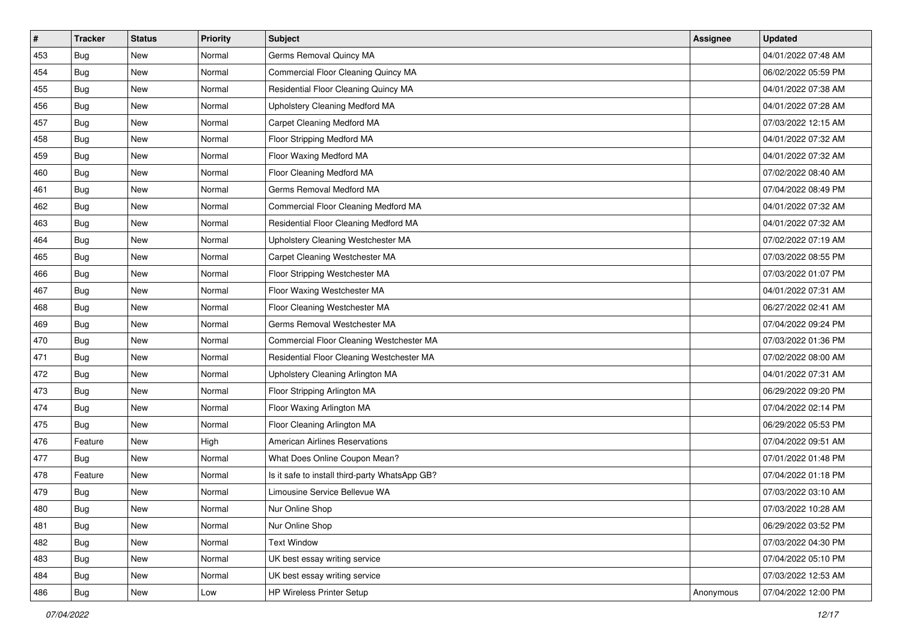| #   | <b>Tracker</b> | <b>Status</b> | <b>Priority</b> | Subject                                        | <b>Assignee</b> | <b>Updated</b>      |
|-----|----------------|---------------|-----------------|------------------------------------------------|-----------------|---------------------|
| 453 | Bug            | New           | Normal          | Germs Removal Quincy MA                        |                 | 04/01/2022 07:48 AM |
| 454 | <b>Bug</b>     | New           | Normal          | Commercial Floor Cleaning Quincy MA            |                 | 06/02/2022 05:59 PM |
| 455 | Bug            | New           | Normal          | Residential Floor Cleaning Quincy MA           |                 | 04/01/2022 07:38 AM |
| 456 | Bug            | New           | Normal          | Upholstery Cleaning Medford MA                 |                 | 04/01/2022 07:28 AM |
| 457 | <b>Bug</b>     | New           | Normal          | Carpet Cleaning Medford MA                     |                 | 07/03/2022 12:15 AM |
| 458 | Bug            | New           | Normal          | Floor Stripping Medford MA                     |                 | 04/01/2022 07:32 AM |
| 459 | <b>Bug</b>     | New           | Normal          | Floor Waxing Medford MA                        |                 | 04/01/2022 07:32 AM |
| 460 | Bug            | New           | Normal          | Floor Cleaning Medford MA                      |                 | 07/02/2022 08:40 AM |
| 461 | Bug            | New           | Normal          | Germs Removal Medford MA                       |                 | 07/04/2022 08:49 PM |
| 462 | <b>Bug</b>     | New           | Normal          | Commercial Floor Cleaning Medford MA           |                 | 04/01/2022 07:32 AM |
| 463 | <b>Bug</b>     | New           | Normal          | Residential Floor Cleaning Medford MA          |                 | 04/01/2022 07:32 AM |
| 464 | Bug            | New           | Normal          | Upholstery Cleaning Westchester MA             |                 | 07/02/2022 07:19 AM |
| 465 | Bug            | New           | Normal          | Carpet Cleaning Westchester MA                 |                 | 07/03/2022 08:55 PM |
| 466 | <b>Bug</b>     | New           | Normal          | Floor Stripping Westchester MA                 |                 | 07/03/2022 01:07 PM |
| 467 | <b>Bug</b>     | New           | Normal          | Floor Waxing Westchester MA                    |                 | 04/01/2022 07:31 AM |
| 468 | Bug            | New           | Normal          | Floor Cleaning Westchester MA                  |                 | 06/27/2022 02:41 AM |
| 469 | Bug            | New           | Normal          | Germs Removal Westchester MA                   |                 | 07/04/2022 09:24 PM |
| 470 | <b>Bug</b>     | New           | Normal          | Commercial Floor Cleaning Westchester MA       |                 | 07/03/2022 01:36 PM |
| 471 | Bug            | New           | Normal          | Residential Floor Cleaning Westchester MA      |                 | 07/02/2022 08:00 AM |
| 472 | <b>Bug</b>     | New           | Normal          | Upholstery Cleaning Arlington MA               |                 | 04/01/2022 07:31 AM |
| 473 | Bug            | New           | Normal          | Floor Stripping Arlington MA                   |                 | 06/29/2022 09:20 PM |
| 474 | Bug            | New           | Normal          | Floor Waxing Arlington MA                      |                 | 07/04/2022 02:14 PM |
| 475 | Bug            | New           | Normal          | Floor Cleaning Arlington MA                    |                 | 06/29/2022 05:53 PM |
| 476 | Feature        | New           | High            | <b>American Airlines Reservations</b>          |                 | 07/04/2022 09:51 AM |
| 477 | Bug            | New           | Normal          | What Does Online Coupon Mean?                  |                 | 07/01/2022 01:48 PM |
| 478 | Feature        | New           | Normal          | Is it safe to install third-party WhatsApp GB? |                 | 07/04/2022 01:18 PM |
| 479 | Bug            | New           | Normal          | Limousine Service Bellevue WA                  |                 | 07/03/2022 03:10 AM |
| 480 | <b>Bug</b>     | New           | Normal          | Nur Online Shop                                |                 | 07/03/2022 10:28 AM |
| 481 | Bug            | New           | Normal          | Nur Online Shop                                |                 | 06/29/2022 03:52 PM |
| 482 | Bug            | New           | Normal          | <b>Text Window</b>                             |                 | 07/03/2022 04:30 PM |
| 483 | Bug            | New           | Normal          | UK best essay writing service                  |                 | 07/04/2022 05:10 PM |
| 484 | <b>Bug</b>     | New           | Normal          | UK best essay writing service                  |                 | 07/03/2022 12:53 AM |
| 486 | <b>Bug</b>     | New           | Low             | <b>HP Wireless Printer Setup</b>               | Anonymous       | 07/04/2022 12:00 PM |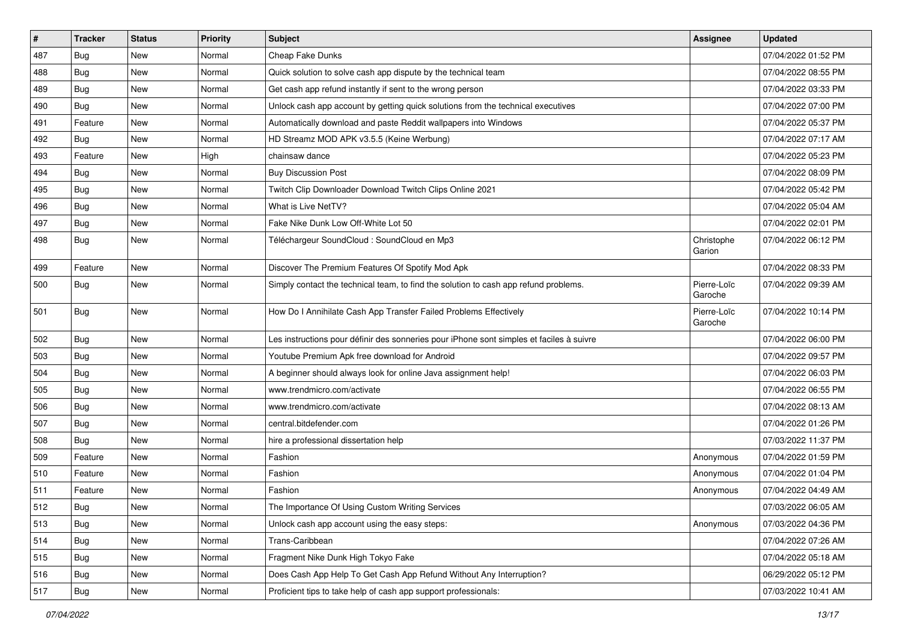| #   | <b>Tracker</b> | <b>Status</b> | <b>Priority</b> | <b>Subject</b>                                                                           | <b>Assignee</b>        | <b>Updated</b>      |
|-----|----------------|---------------|-----------------|------------------------------------------------------------------------------------------|------------------------|---------------------|
| 487 | <b>Bug</b>     | New           | Normal          | Cheap Fake Dunks                                                                         |                        | 07/04/2022 01:52 PM |
| 488 | Bug            | <b>New</b>    | Normal          | Quick solution to solve cash app dispute by the technical team                           |                        | 07/04/2022 08:55 PM |
| 489 | Bug            | New           | Normal          | Get cash app refund instantly if sent to the wrong person                                |                        | 07/04/2022 03:33 PM |
| 490 | <b>Bug</b>     | <b>New</b>    | Normal          | Unlock cash app account by getting quick solutions from the technical executives         |                        | 07/04/2022 07:00 PM |
| 491 | Feature        | <b>New</b>    | Normal          | Automatically download and paste Reddit wallpapers into Windows                          |                        | 07/04/2022 05:37 PM |
| 492 | Bug            | New           | Normal          | HD Streamz MOD APK v3.5.5 (Keine Werbung)                                                |                        | 07/04/2022 07:17 AM |
| 493 | Feature        | New           | High            | chainsaw dance                                                                           |                        | 07/04/2022 05:23 PM |
| 494 | Bug            | New           | Normal          | <b>Buy Discussion Post</b>                                                               |                        | 07/04/2022 08:09 PM |
| 495 | <b>Bug</b>     | <b>New</b>    | Normal          | Twitch Clip Downloader Download Twitch Clips Online 2021                                 |                        | 07/04/2022 05:42 PM |
| 496 | <b>Bug</b>     | New           | Normal          | What is Live NetTV?                                                                      |                        | 07/04/2022 05:04 AM |
| 497 | Bug            | <b>New</b>    | Normal          | Fake Nike Dunk Low Off-White Lot 50                                                      |                        | 07/04/2022 02:01 PM |
| 498 | Bug            | New           | Normal          | Téléchargeur SoundCloud : SoundCloud en Mp3                                              | Christophe<br>Garion   | 07/04/2022 06:12 PM |
| 499 | Feature        | New           | Normal          | Discover The Premium Features Of Spotify Mod Apk                                         |                        | 07/04/2022 08:33 PM |
| 500 | <b>Bug</b>     | New           | Normal          | Simply contact the technical team, to find the solution to cash app refund problems.     | Pierre-Loïc<br>Garoche | 07/04/2022 09:39 AM |
| 501 | <b>Bug</b>     | <b>New</b>    | Normal          | How Do I Annihilate Cash App Transfer Failed Problems Effectively                        | Pierre-Loïc<br>Garoche | 07/04/2022 10:14 PM |
| 502 | Bug            | <b>New</b>    | Normal          | Les instructions pour définir des sonneries pour iPhone sont simples et faciles à suivre |                        | 07/04/2022 06:00 PM |
| 503 | Bug            | New           | Normal          | Youtube Premium Apk free download for Android                                            |                        | 07/04/2022 09:57 PM |
| 504 | <b>Bug</b>     | <b>New</b>    | Normal          | A beginner should always look for online Java assignment help!                           |                        | 07/04/2022 06:03 PM |
| 505 | Bug            | <b>New</b>    | Normal          | www.trendmicro.com/activate                                                              |                        | 07/04/2022 06:55 PM |
| 506 | Bug            | New           | Normal          | www.trendmicro.com/activate                                                              |                        | 07/04/2022 08:13 AM |
| 507 | Bug            | New           | Normal          | central.bitdefender.com                                                                  |                        | 07/04/2022 01:26 PM |
| 508 | <b>Bug</b>     | <b>New</b>    | Normal          | hire a professional dissertation help                                                    |                        | 07/03/2022 11:37 PM |
| 509 | Feature        | <b>New</b>    | Normal          | Fashion                                                                                  | Anonymous              | 07/04/2022 01:59 PM |
| 510 | Feature        | New           | Normal          | Fashion                                                                                  | Anonymous              | 07/04/2022 01:04 PM |
| 511 | Feature        | New           | Normal          | Fashion                                                                                  | Anonymous              | 07/04/2022 04:49 AM |
| 512 | Bug            | New           | Normal          | The Importance Of Using Custom Writing Services                                          |                        | 07/03/2022 06:05 AM |
| 513 | Bug            | New           | Normal          | Unlock cash app account using the easy steps:                                            | Anonymous              | 07/03/2022 04:36 PM |
| 514 | Bug            | New           | Normal          | Trans-Caribbean                                                                          |                        | 07/04/2022 07:26 AM |
| 515 | Bug            | New           | Normal          | Fragment Nike Dunk High Tokyo Fake                                                       |                        | 07/04/2022 05:18 AM |
| 516 | Bug            | New           | Normal          | Does Cash App Help To Get Cash App Refund Without Any Interruption?                      |                        | 06/29/2022 05:12 PM |
| 517 | <b>Bug</b>     | New           | Normal          | Proficient tips to take help of cash app support professionals:                          |                        | 07/03/2022 10:41 AM |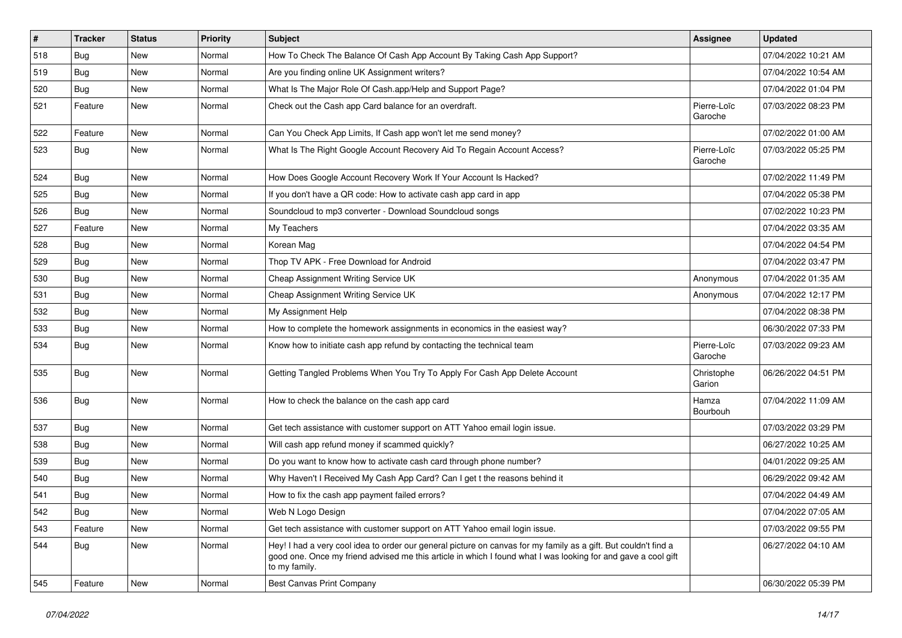| $\sharp$ | <b>Tracker</b> | <b>Status</b> | <b>Priority</b> | Subject                                                                                                                                                                                                                                           | <b>Assignee</b>        | <b>Updated</b>      |
|----------|----------------|---------------|-----------------|---------------------------------------------------------------------------------------------------------------------------------------------------------------------------------------------------------------------------------------------------|------------------------|---------------------|
| 518      | <b>Bug</b>     | New           | Normal          | How To Check The Balance Of Cash App Account By Taking Cash App Support?                                                                                                                                                                          |                        | 07/04/2022 10:21 AM |
| 519      | <b>Bug</b>     | <b>New</b>    | Normal          | Are you finding online UK Assignment writers?                                                                                                                                                                                                     |                        | 07/04/2022 10:54 AM |
| 520      | <b>Bug</b>     | New           | Normal          | What Is The Major Role Of Cash.app/Help and Support Page?                                                                                                                                                                                         |                        | 07/04/2022 01:04 PM |
| 521      | Feature        | New           | Normal          | Check out the Cash app Card balance for an overdraft.                                                                                                                                                                                             | Pierre-Loïc<br>Garoche | 07/03/2022 08:23 PM |
| 522      | Feature        | <b>New</b>    | Normal          | Can You Check App Limits, If Cash app won't let me send money?                                                                                                                                                                                    |                        | 07/02/2022 01:00 AM |
| 523      | <b>Bug</b>     | New           | Normal          | What Is The Right Google Account Recovery Aid To Regain Account Access?                                                                                                                                                                           | Pierre-Loïc<br>Garoche | 07/03/2022 05:25 PM |
| 524      | <b>Bug</b>     | <b>New</b>    | Normal          | How Does Google Account Recovery Work If Your Account Is Hacked?                                                                                                                                                                                  |                        | 07/02/2022 11:49 PM |
| 525      | <b>Bug</b>     | New           | Normal          | If you don't have a QR code: How to activate cash app card in app                                                                                                                                                                                 |                        | 07/04/2022 05:38 PM |
| 526      | <b>Bug</b>     | New           | Normal          | Soundcloud to mp3 converter - Download Soundcloud songs                                                                                                                                                                                           |                        | 07/02/2022 10:23 PM |
| 527      | Feature        | New           | Normal          | My Teachers                                                                                                                                                                                                                                       |                        | 07/04/2022 03:35 AM |
| 528      | <b>Bug</b>     | New           | Normal          | Korean Mag                                                                                                                                                                                                                                        |                        | 07/04/2022 04:54 PM |
| 529      | <b>Bug</b>     | New           | Normal          | Thop TV APK - Free Download for Android                                                                                                                                                                                                           |                        | 07/04/2022 03:47 PM |
| 530      | <b>Bug</b>     | New           | Normal          | Cheap Assignment Writing Service UK                                                                                                                                                                                                               | Anonymous              | 07/04/2022 01:35 AM |
| 531      | <b>Bug</b>     | New           | Normal          | Cheap Assignment Writing Service UK                                                                                                                                                                                                               | Anonymous              | 07/04/2022 12:17 PM |
| 532      | <b>Bug</b>     | New           | Normal          | My Assignment Help                                                                                                                                                                                                                                |                        | 07/04/2022 08:38 PM |
| 533      | Bug            | <b>New</b>    | Normal          | How to complete the homework assignments in economics in the easiest way?                                                                                                                                                                         |                        | 06/30/2022 07:33 PM |
| 534      | <b>Bug</b>     | New           | Normal          | Know how to initiate cash app refund by contacting the technical team                                                                                                                                                                             | Pierre-Loïc<br>Garoche | 07/03/2022 09:23 AM |
| 535      | <b>Bug</b>     | <b>New</b>    | Normal          | Getting Tangled Problems When You Try To Apply For Cash App Delete Account                                                                                                                                                                        | Christophe<br>Garion   | 06/26/2022 04:51 PM |
| 536      | <b>Bug</b>     | New           | Normal          | How to check the balance on the cash app card                                                                                                                                                                                                     | Hamza<br>Bourbouh      | 07/04/2022 11:09 AM |
| 537      | <b>Bug</b>     | <b>New</b>    | Normal          | Get tech assistance with customer support on ATT Yahoo email login issue.                                                                                                                                                                         |                        | 07/03/2022 03:29 PM |
| 538      | Bug            | New           | Normal          | Will cash app refund money if scammed quickly?                                                                                                                                                                                                    |                        | 06/27/2022 10:25 AM |
| 539      | <b>Bug</b>     | New           | Normal          | Do you want to know how to activate cash card through phone number?                                                                                                                                                                               |                        | 04/01/2022 09:25 AM |
| 540      | Bug            | New           | Normal          | Why Haven't I Received My Cash App Card? Can I get t the reasons behind it                                                                                                                                                                        |                        | 06/29/2022 09:42 AM |
| 541      | <b>Bug</b>     | New           | Normal          | How to fix the cash app payment failed errors?                                                                                                                                                                                                    |                        | 07/04/2022 04:49 AM |
| 542      | Bug            | New           | Normal          | Web N Logo Design                                                                                                                                                                                                                                 |                        | 07/04/2022 07:05 AM |
| 543      | Feature        | New           | Normal          | Get tech assistance with customer support on ATT Yahoo email login issue.                                                                                                                                                                         |                        | 07/03/2022 09:55 PM |
| 544      | Bug            | New           | Normal          | Hey! I had a very cool idea to order our general picture on canvas for my family as a gift. But couldn't find a<br>good one. Once my friend advised me this article in which I found what I was looking for and gave a cool gift<br>to my family. |                        | 06/27/2022 04:10 AM |
| 545      | Feature        | New           | Normal          | <b>Best Canvas Print Company</b>                                                                                                                                                                                                                  |                        | 06/30/2022 05:39 PM |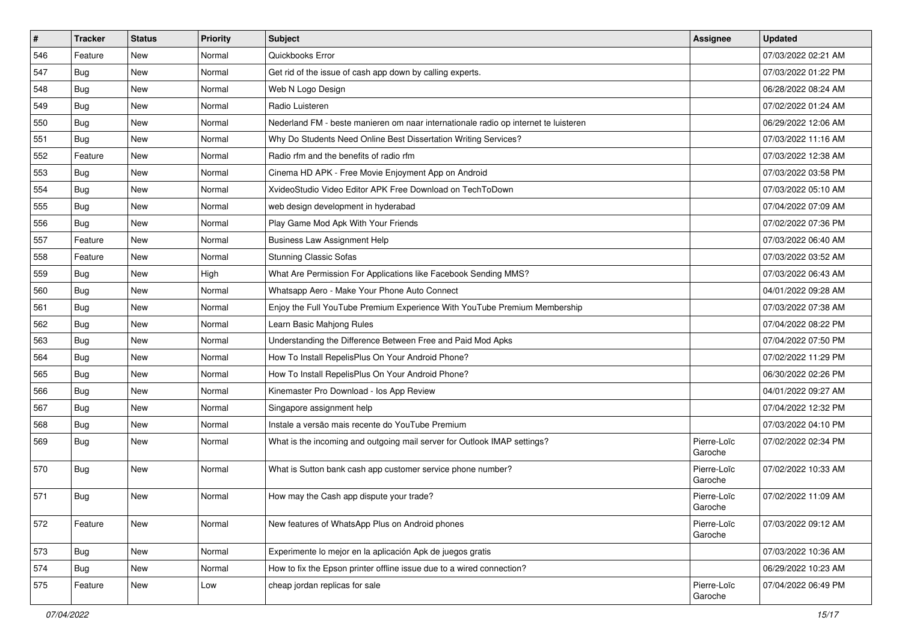| $\sharp$ | <b>Tracker</b> | <b>Status</b> | Priority | <b>Subject</b>                                                                      | <b>Assignee</b>        | <b>Updated</b>      |
|----------|----------------|---------------|----------|-------------------------------------------------------------------------------------|------------------------|---------------------|
| 546      | Feature        | New           | Normal   | Quickbooks Error                                                                    |                        | 07/03/2022 02:21 AM |
| 547      | <b>Bug</b>     | <b>New</b>    | Normal   | Get rid of the issue of cash app down by calling experts.                           |                        | 07/03/2022 01:22 PM |
| 548      | <b>Bug</b>     | New           | Normal   | Web N Logo Design                                                                   |                        | 06/28/2022 08:24 AM |
| 549      | <b>Bug</b>     | <b>New</b>    | Normal   | Radio Luisteren                                                                     |                        | 07/02/2022 01:24 AM |
| 550      | Bug            | <b>New</b>    | Normal   | Nederland FM - beste manieren om naar internationale radio op internet te luisteren |                        | 06/29/2022 12:06 AM |
| 551      | <b>Bug</b>     | New           | Normal   | Why Do Students Need Online Best Dissertation Writing Services?                     |                        | 07/03/2022 11:16 AM |
| 552      | Feature        | <b>New</b>    | Normal   | Radio rfm and the benefits of radio rfm                                             |                        | 07/03/2022 12:38 AM |
| 553      | <b>Bug</b>     | New           | Normal   | Cinema HD APK - Free Movie Enjoyment App on Android                                 |                        | 07/03/2022 03:58 PM |
| 554      | <b>Bug</b>     | New           | Normal   | XvideoStudio Video Editor APK Free Download on TechToDown                           |                        | 07/03/2022 05:10 AM |
| 555      | Bug            | <b>New</b>    | Normal   | web design development in hyderabad                                                 |                        | 07/04/2022 07:09 AM |
| 556      | <b>Bug</b>     | <b>New</b>    | Normal   | Play Game Mod Apk With Your Friends                                                 |                        | 07/02/2022 07:36 PM |
| 557      | Feature        | <b>New</b>    | Normal   | <b>Business Law Assignment Help</b>                                                 |                        | 07/03/2022 06:40 AM |
| 558      | Feature        | New           | Normal   | <b>Stunning Classic Sofas</b>                                                       |                        | 07/03/2022 03:52 AM |
| 559      | <b>Bug</b>     | New           | High     | What Are Permission For Applications like Facebook Sending MMS?                     |                        | 07/03/2022 06:43 AM |
| 560      | Bug            | <b>New</b>    | Normal   | Whatsapp Aero - Make Your Phone Auto Connect                                        |                        | 04/01/2022 09:28 AM |
| 561      | <b>Bug</b>     | New           | Normal   | Enjoy the Full YouTube Premium Experience With YouTube Premium Membership           |                        | 07/03/2022 07:38 AM |
| 562      | <b>Bug</b>     | <b>New</b>    | Normal   | Learn Basic Mahjong Rules                                                           |                        | 07/04/2022 08:22 PM |
| 563      | <b>Bug</b>     | <b>New</b>    | Normal   | Understanding the Difference Between Free and Paid Mod Apks                         |                        | 07/04/2022 07:50 PM |
| 564      | Bug            | <b>New</b>    | Normal   | How To Install RepelisPlus On Your Android Phone?                                   |                        | 07/02/2022 11:29 PM |
| 565      | <b>Bug</b>     | <b>New</b>    | Normal   | How To Install RepelisPlus On Your Android Phone?                                   |                        | 06/30/2022 02:26 PM |
| 566      | Bug            | New           | Normal   | Kinemaster Pro Download - los App Review                                            |                        | 04/01/2022 09:27 AM |
| 567      | <b>Bug</b>     | New           | Normal   | Singapore assignment help                                                           |                        | 07/04/2022 12:32 PM |
| 568      | <b>Bug</b>     | <b>New</b>    | Normal   | Instale a versão mais recente do YouTube Premium                                    |                        | 07/03/2022 04:10 PM |
| 569      | <b>Bug</b>     | New           | Normal   | What is the incoming and outgoing mail server for Outlook IMAP settings?            | Pierre-Loïc<br>Garoche | 07/02/2022 02:34 PM |
| 570      | <b>Bug</b>     | <b>New</b>    | Normal   | What is Sutton bank cash app customer service phone number?                         | Pierre-Loïc<br>Garoche | 07/02/2022 10:33 AM |
| 571      | Bug            | <b>New</b>    | Normal   | How may the Cash app dispute your trade?                                            | Pierre-Loïc<br>Garoche | 07/02/2022 11:09 AM |
| 572      | Feature        | New           | Normal   | New features of WhatsApp Plus on Android phones                                     | Pierre-Loïc<br>Garoche | 07/03/2022 09:12 AM |
| 573      | Bug            | New           | Normal   | Experimente lo mejor en la aplicación Apk de juegos gratis                          |                        | 07/03/2022 10:36 AM |
| 574      | Bug            | New           | Normal   | How to fix the Epson printer offline issue due to a wired connection?               |                        | 06/29/2022 10:23 AM |
| 575      | Feature        | New           | Low      | cheap jordan replicas for sale                                                      | Pierre-Loïc<br>Garoche | 07/04/2022 06:49 PM |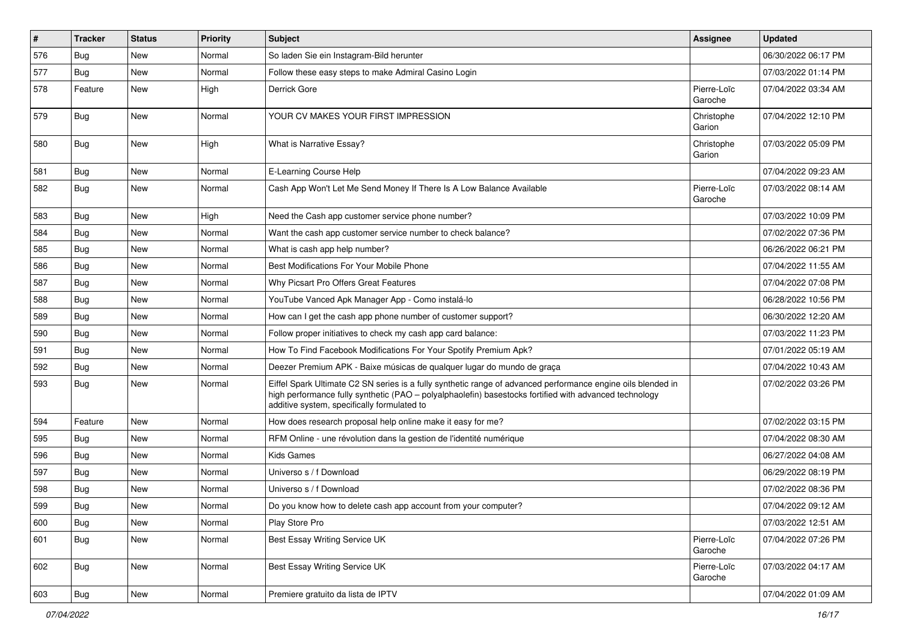| #   | <b>Tracker</b> | <b>Status</b> | <b>Priority</b> | <b>Subject</b>                                                                                                                                                                                                                                                        | <b>Assignee</b>        | <b>Updated</b>      |
|-----|----------------|---------------|-----------------|-----------------------------------------------------------------------------------------------------------------------------------------------------------------------------------------------------------------------------------------------------------------------|------------------------|---------------------|
| 576 | Bug            | New           | Normal          | So laden Sie ein Instagram-Bild herunter                                                                                                                                                                                                                              |                        | 06/30/2022 06:17 PM |
| 577 | Bug            | <b>New</b>    | Normal          | Follow these easy steps to make Admiral Casino Login                                                                                                                                                                                                                  |                        | 07/03/2022 01:14 PM |
| 578 | Feature        | New           | High            | Derrick Gore                                                                                                                                                                                                                                                          | Pierre-Loïc<br>Garoche | 07/04/2022 03:34 AM |
| 579 | <b>Bug</b>     | New           | Normal          | YOUR CV MAKES YOUR FIRST IMPRESSION                                                                                                                                                                                                                                   | Christophe<br>Garion   | 07/04/2022 12:10 PM |
| 580 | <b>Bug</b>     | New           | High            | What is Narrative Essay?                                                                                                                                                                                                                                              | Christophe<br>Garion   | 07/03/2022 05:09 PM |
| 581 | Bug            | New           | Normal          | E-Learning Course Help                                                                                                                                                                                                                                                |                        | 07/04/2022 09:23 AM |
| 582 | <b>Bug</b>     | New           | Normal          | Cash App Won't Let Me Send Money If There Is A Low Balance Available                                                                                                                                                                                                  | Pierre-Loïc<br>Garoche | 07/03/2022 08:14 AM |
| 583 | <b>Bug</b>     | New           | High            | Need the Cash app customer service phone number?                                                                                                                                                                                                                      |                        | 07/03/2022 10:09 PM |
| 584 | Bug            | New           | Normal          | Want the cash app customer service number to check balance?                                                                                                                                                                                                           |                        | 07/02/2022 07:36 PM |
| 585 | Bug            | New           | Normal          | What is cash app help number?                                                                                                                                                                                                                                         |                        | 06/26/2022 06:21 PM |
| 586 | <b>Bug</b>     | New           | Normal          | Best Modifications For Your Mobile Phone                                                                                                                                                                                                                              |                        | 07/04/2022 11:55 AM |
| 587 | Bug            | New           | Normal          | Why Picsart Pro Offers Great Features                                                                                                                                                                                                                                 |                        | 07/04/2022 07:08 PM |
| 588 | Bug            | New           | Normal          | YouTube Vanced Apk Manager App - Como instalá-lo                                                                                                                                                                                                                      |                        | 06/28/2022 10:56 PM |
| 589 | <b>Bug</b>     | New           | Normal          | How can I get the cash app phone number of customer support?                                                                                                                                                                                                          |                        | 06/30/2022 12:20 AM |
| 590 | Bug            | <b>New</b>    | Normal          | Follow proper initiatives to check my cash app card balance:                                                                                                                                                                                                          |                        | 07/03/2022 11:23 PM |
| 591 | <b>Bug</b>     | New           | Normal          | How To Find Facebook Modifications For Your Spotify Premium Apk?                                                                                                                                                                                                      |                        | 07/01/2022 05:19 AM |
| 592 | Bug            | New           | Normal          | Deezer Premium APK - Baixe músicas de qualquer lugar do mundo de graça                                                                                                                                                                                                |                        | 07/04/2022 10:43 AM |
| 593 | Bug            | New           | Normal          | Eiffel Spark Ultimate C2 SN series is a fully synthetic range of advanced performance engine oils blended in<br>high performance fully synthetic (PAO - polyalphaolefin) basestocks fortified with advanced technology<br>additive system, specifically formulated to |                        | 07/02/2022 03:26 PM |
| 594 | Feature        | New           | Normal          | How does research proposal help online make it easy for me?                                                                                                                                                                                                           |                        | 07/02/2022 03:15 PM |
| 595 | <b>Bug</b>     | New           | Normal          | RFM Online - une révolution dans la gestion de l'identité numérique                                                                                                                                                                                                   |                        | 07/04/2022 08:30 AM |
| 596 | Bug            | New           | Normal          | <b>Kids Games</b>                                                                                                                                                                                                                                                     |                        | 06/27/2022 04:08 AM |
| 597 | Bug            | New           | Normal          | Universo s / f Download                                                                                                                                                                                                                                               |                        | 06/29/2022 08:19 PM |
| 598 | Bug            | New           | Normal          | Universo s / f Download                                                                                                                                                                                                                                               |                        | 07/02/2022 08:36 PM |
| 599 | I Bug          | New           | Normal          | Do you know how to delete cash app account from your computer?                                                                                                                                                                                                        |                        | 07/04/2022 09:12 AM |
| 600 | <b>Bug</b>     | New           | Normal          | Play Store Pro                                                                                                                                                                                                                                                        |                        | 07/03/2022 12:51 AM |
| 601 | <b>Bug</b>     | New           | Normal          | Best Essay Writing Service UK                                                                                                                                                                                                                                         | Pierre-Loïc<br>Garoche | 07/04/2022 07:26 PM |
| 602 | <b>Bug</b>     | New           | Normal          | Best Essay Writing Service UK                                                                                                                                                                                                                                         | Pierre-Loïc<br>Garoche | 07/03/2022 04:17 AM |
| 603 | <b>Bug</b>     | New           | Normal          | Premiere gratuito da lista de IPTV                                                                                                                                                                                                                                    |                        | 07/04/2022 01:09 AM |